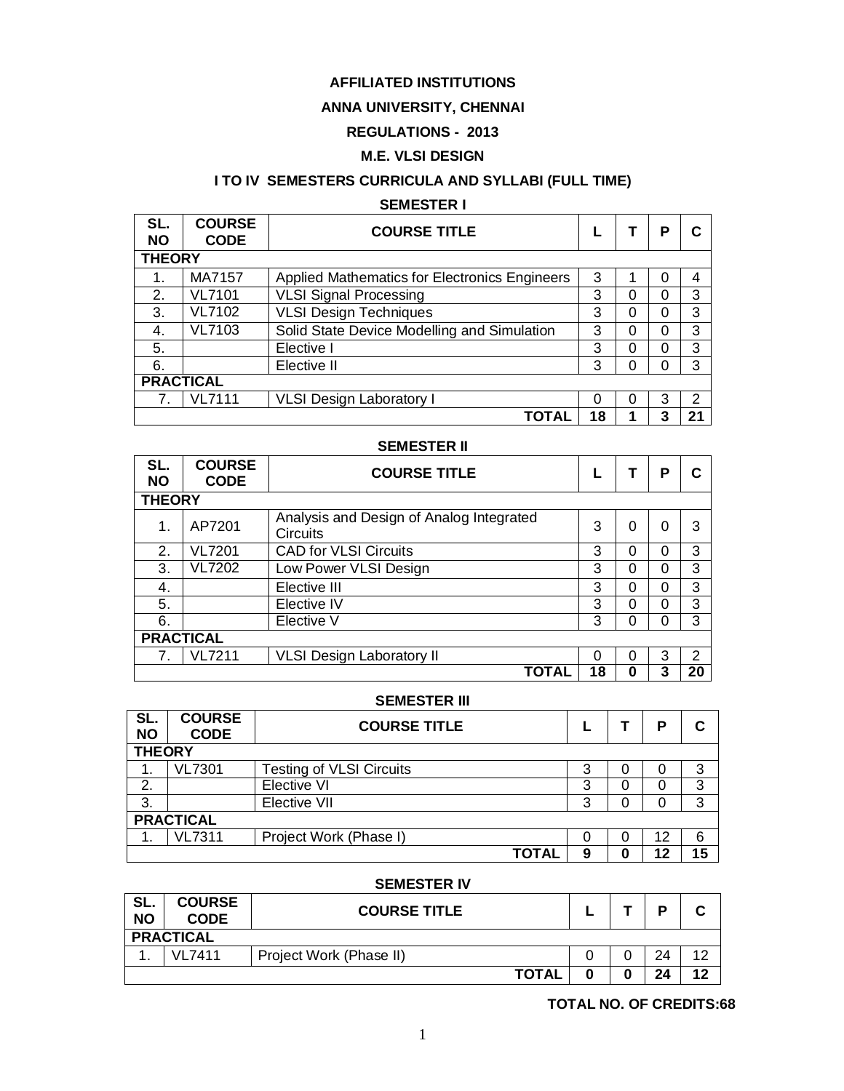### **AFFILIATED INSTITUTIONS**

### **ANNA UNIVERSITY, CHENNAI**

## **REGULATIONS - 2013**

### **M.E. VLSI DESIGN**

## **I TO IV SEMESTERS CURRICULA AND SYLLABI (FULL TIME)**

#### **SEMESTER I**

| SL.<br><b>NO</b> | <b>COURSE</b><br><b>CODE</b> | <b>COURSE TITLE</b>                           |    |          | Р |                |  |
|------------------|------------------------------|-----------------------------------------------|----|----------|---|----------------|--|
| <b>THEORY</b>    |                              |                                               |    |          |   |                |  |
| 1.               | MA7157                       | Applied Mathematics for Electronics Engineers | 3  |          | 0 | 4              |  |
| 2.               | <b>VL7101</b>                | <b>VLSI Signal Processing</b>                 | 3  | $\Omega$ | 0 | 3              |  |
| 3.               | <b>VL7102</b>                | <b>VLSI Design Techniques</b>                 | 3  | $\Omega$ | 0 | 3              |  |
| 4.               | VL7103                       | Solid State Device Modelling and Simulation   | 3  | 0        | 0 | 3              |  |
| 5.               |                              | Elective I                                    | 3  | 0        | 0 | 3              |  |
| 6.               |                              | Elective II                                   | 3  | 0        | 0 | 3              |  |
| <b>PRACTICAL</b> |                              |                                               |    |          |   |                |  |
|                  | <b>VL7111</b>                | <b>VLSI Design Laboratory I</b>               | 0  | 0        | 3 | $\overline{2}$ |  |
|                  |                              | ΤΟΤΑΙ                                         | 18 |          | 3 | 21             |  |

#### **SEMESTER II**

| SL.<br><b>NO</b> | <b>COURSE</b><br><b>CODE</b> | <b>COURSE TITLE</b>                                  |    |          | Р        |               |  |
|------------------|------------------------------|------------------------------------------------------|----|----------|----------|---------------|--|
| <b>THEORY</b>    |                              |                                                      |    |          |          |               |  |
| 1.               | AP7201                       | Analysis and Design of Analog Integrated<br>Circuits | 3  | $\Omega$ | $\Omega$ | 3             |  |
| 2.               | <b>VL7201</b>                | <b>CAD for VLSI Circuits</b>                         | 3  | 0        | 0        | 3             |  |
| 3.               | <b>VL7202</b>                | Low Power VLSI Design                                | 3  | 0        | 0        | 3             |  |
| 4.               |                              | Elective III                                         | 3  | 0        | 0        | 3             |  |
| 5.               |                              | Elective IV                                          | 3  | 0        | 0        | 3             |  |
| 6.               |                              | Elective V                                           | 3  | 0        | 0        | 3             |  |
| <b>PRACTICAL</b> |                              |                                                      |    |          |          |               |  |
| 7.               | <b>VL7211</b>                | <b>VLSI Design Laboratory II</b>                     | 0  | $\Omega$ | 3        | $\mathcal{P}$ |  |
|                  |                              | <b>TOTAL</b>                                         | 18 | 0        | 3        | 20            |  |

#### **SEMESTER III**

| SL.<br><b>NO</b> | <b>COURSE</b><br><b>CODE</b> | <b>COURSE TITLE</b>             |   |   | P  |    |  |
|------------------|------------------------------|---------------------------------|---|---|----|----|--|
|                  | <b>THEORY</b>                |                                 |   |   |    |    |  |
| т.               | <b>VL7301</b>                | <b>Testing of VLSI Circuits</b> | 3 | Ü | O  | 3  |  |
| 2.               |                              | <b>Elective VI</b>              | 3 | O |    | 3  |  |
| 3.               |                              | Elective VII                    | 3 |   | 0  | 3  |  |
|                  | <b>PRACTICAL</b>             |                                 |   |   |    |    |  |
|                  | <b>VL7311</b>                | Project Work (Phase I)          |   |   | 12 | 6  |  |
|                  |                              | <b>TOTAL</b>                    | 9 | 0 | 12 | 15 |  |

#### **SEMESTER IV**

| SL.<br><b>NO</b> | <b>COURSE</b><br><b>CODE</b> | <b>COURSE TITLE</b>     |   |  |    |    |
|------------------|------------------------------|-------------------------|---|--|----|----|
|                  | <b>PRACTICAL</b>             |                         |   |  |    |    |
|                  | VI 7411                      | Project Work (Phase II) |   |  | 24 | 10 |
|                  |                              | <b>TOTAL</b>            | 0 |  | 24 | 12 |

#### **TOTAL NO. OF CREDITS:68**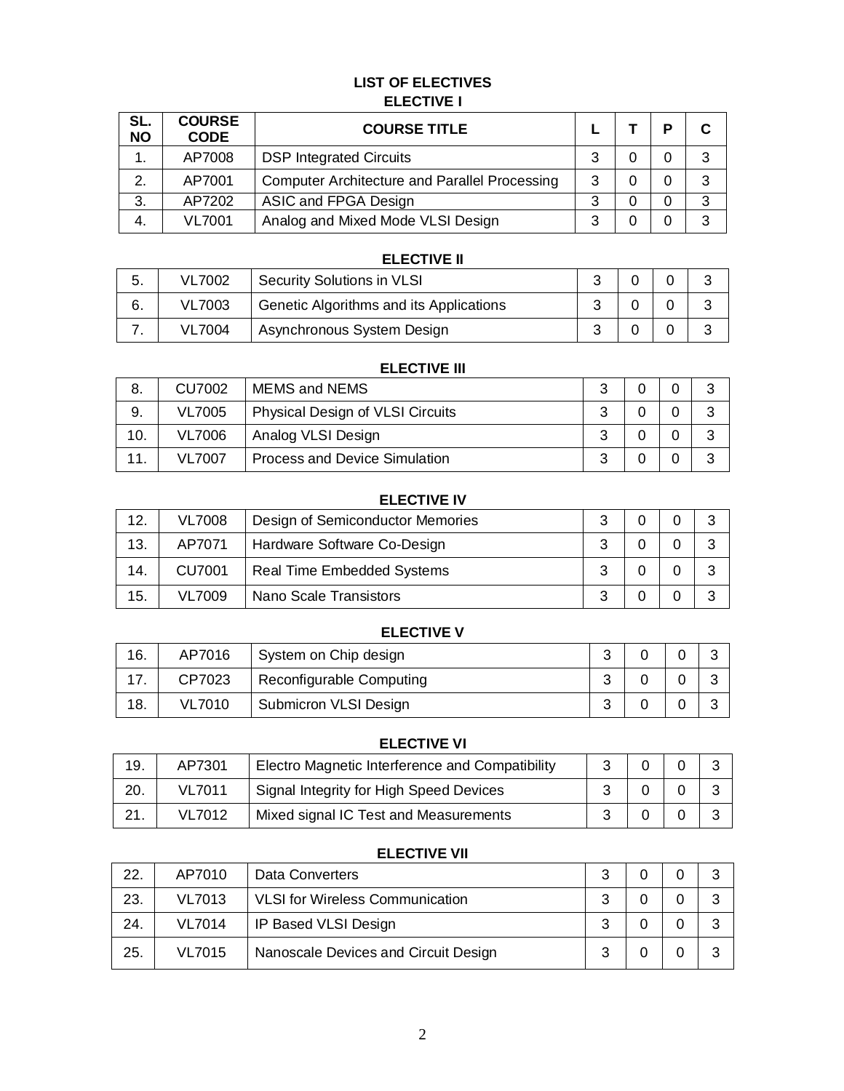### **LIST OF ELECTIVES ELECTIVE I**

| SL.<br><b>NO</b> | <b>COURSE</b><br><b>CODE</b> | <b>COURSE TITLE</b>                                  |   | D |   |
|------------------|------------------------------|------------------------------------------------------|---|---|---|
| 1.               | AP7008                       | <b>DSP Integrated Circuits</b>                       | 3 |   | 3 |
| $\mathbf{2}$     | AP7001                       | <b>Computer Architecture and Parallel Processing</b> | 3 |   | 3 |
| 3.               | AP7202                       | ASIC and FPGA Design                                 | 3 |   | 3 |
| 4.               | <b>VL7001</b>                | Analog and Mixed Mode VLSI Design                    | 3 |   |   |

| <b>ELECTIVE II</b> |               |                                         |   |  |  |  |
|--------------------|---------------|-----------------------------------------|---|--|--|--|
| -5.                | <b>VL7002</b> | <b>Security Solutions in VLSI</b>       |   |  |  |  |
| 6.                 | VL7003        | Genetic Algorithms and its Applications | ົ |  |  |  |
|                    | VL7004        | Asynchronous System Design              |   |  |  |  |

| <b>ELECTIVE III</b> |               |                                         |   |  |  |   |  |
|---------------------|---------------|-----------------------------------------|---|--|--|---|--|
| 8.                  | CU7002        | <b>MEMS and NEMS</b>                    | 3 |  |  | 3 |  |
| 9.                  | <b>VL7005</b> | <b>Physical Design of VLSI Circuits</b> | 3 |  |  | 3 |  |
| 10.                 | VL7006        | Analog VLSI Design                      | 3 |  |  | 3 |  |
|                     | VL7007        | <b>Process and Device Simulation</b>    | 3 |  |  | 3 |  |

#### **ELECTIVE IV**

| 12. | <b>VL7008</b> | Design of Semiconductor Memories  | ີ |  |  |
|-----|---------------|-----------------------------------|---|--|--|
| 13. | AP7071        | Hardware Software Co-Design       | 2 |  |  |
| 14. | <b>CU7001</b> | <b>Real Time Embedded Systems</b> | 3 |  |  |
| 15. | VL7009        | Nano Scale Transistors            | વ |  |  |

## **ELECTIVE V**

| 16. | AP7016        | System on Chip design    |  |  |
|-----|---------------|--------------------------|--|--|
|     | CP7023        | Reconfigurable Computing |  |  |
| 18. | <b>VL7010</b> | Submicron VLSI Design    |  |  |

| <b>ELECTIVE VI</b> |               |                                                 |    |  |  |   |
|--------------------|---------------|-------------------------------------------------|----|--|--|---|
| 19.                | AP7301        | Electro Magnetic Interference and Compatibility | ્ર |  |  | ົ |
| 20.                | <b>VL7011</b> | Signal Integrity for High Speed Devices         |    |  |  | ົ |
| 21.                | <b>VL7012</b> | Mixed signal IC Test and Measurements           | າ  |  |  | ⌒ |

| _____ |               |                                        |   |  |  |   |
|-------|---------------|----------------------------------------|---|--|--|---|
| 22.   | AP7010        | Data Converters                        | 3 |  |  | 3 |
| 23.   | <b>VL7013</b> | <b>VLSI</b> for Wireless Communication | 3 |  |  | 3 |
| 24.   | <b>VL7014</b> | IP Based VLSI Design                   | 3 |  |  | 3 |
| 25.   | <b>VL7015</b> | Nanoscale Devices and Circuit Design   | 3 |  |  | ? |

### **ELECTIVE VII**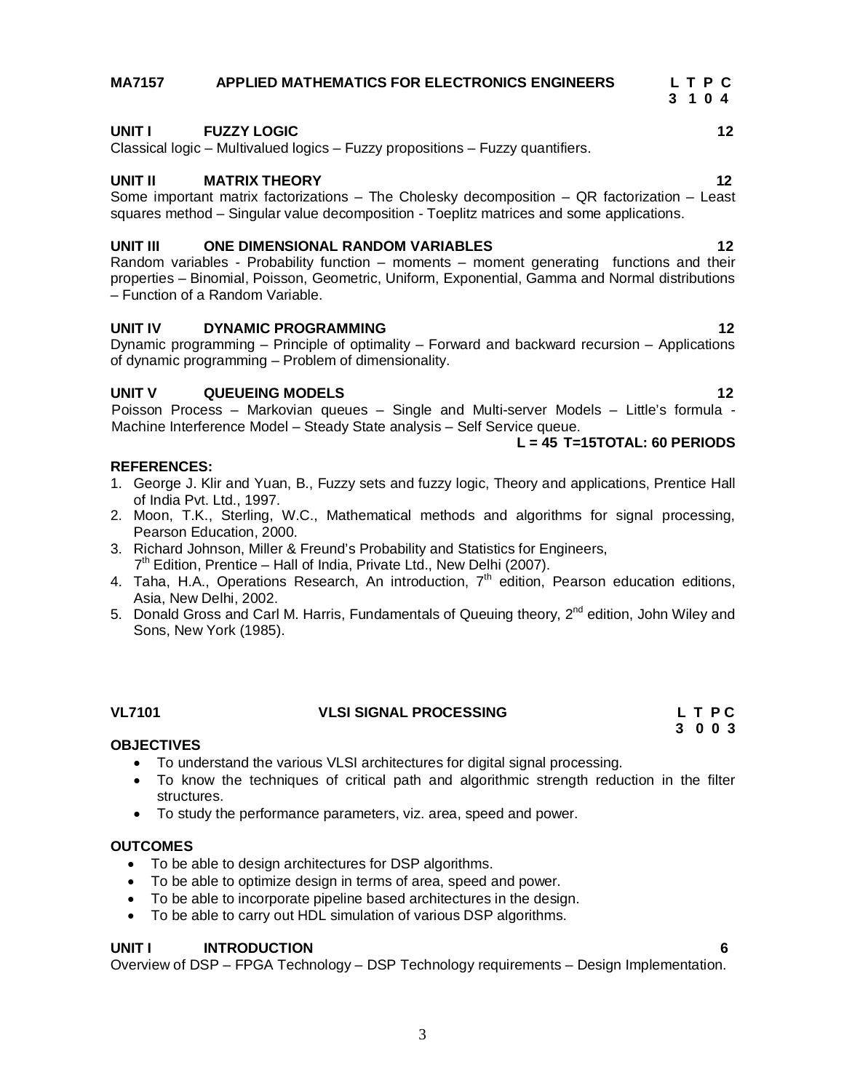# **MA7157 APPLIED MATHEMATICS FOR ELECTRONICS ENGINEERS L T P C**

 **3 1 0 4**

### **UNIT I FUZZY LOGIC 12**

Classical logic – Multivalued logics – Fuzzy propositions – Fuzzy quantifiers.

#### **UNIT II MATRIX THEORY 12**

Some important matrix factorizations – The Cholesky decomposition – QR factorization – Least squares method – Singular value decomposition - Toeplitz matrices and some applications.

#### **UNIT III ONE DIMENSIONAL RANDOM VARIABLES 12**

Random variables - Probability function – moments – moment generating functions and their properties – Binomial, Poisson, Geometric, Uniform, Exponential, Gamma and Normal distributions – Function of a Random Variable.

#### **UNIT IV DYNAMIC PROGRAMMING 12 12**

Dynamic programming – Principle of optimality – Forward and backward recursion – Applications of dynamic programming – Problem of dimensionality.

#### **UNIT V QUEUEING MODELS 12**

Poisson Process – Markovian queues – Single and Multi-server Models – Little's formula - Machine Interference Model – Steady State analysis – Self Service queue.

#### **L = 45 T=15TOTAL: 60 PERIODS**

#### **REFERENCES:**

- 1. George J. Klir and Yuan, B., Fuzzy sets and fuzzy logic, Theory and applications, Prentice Hall of India Pvt. Ltd., 1997.
- 2. Moon, T.K., Sterling, W.C., Mathematical methods and algorithms for signal processing, Pearson Education, 2000.
- 3. Richard Johnson, Miller & Freund's Probability and Statistics for Engineers, 7<sup>th</sup> Edition, Prentice – Hall of India, Private Ltd., New Delhi (2007).
- 4. Taha, H.A., Operations Research, An introduction, 7<sup>th</sup> edition, Pearson education editions, Asia, New Delhi, 2002.
- 5. Donald Gross and Carl M. Harris, Fundamentals of Queuing theory, 2<sup>nd</sup> edition, John Wiley and Sons, New York (1985).

#### **VL7101 VLSI SIGNAL PROCESSING L T P C**

#### **OBJECTIVES**

- To understand the various VLSI architectures for digital signal processing.
- To know the techniques of critical path and algorithmic strength reduction in the filter structures.
- To study the performance parameters, viz. area, speed and power.

#### **OUTCOMES**

- To be able to design architectures for DSP algorithms.
- To be able to optimize design in terms of area, speed and power.
- To be able to incorporate pipeline based architectures in the design.
- To be able to carry out HDL simulation of various DSP algorithms.

#### **UNIT I INTRODUCTION 6**

Overview of DSP – FPGA Technology – DSP Technology requirements – Design Implementation.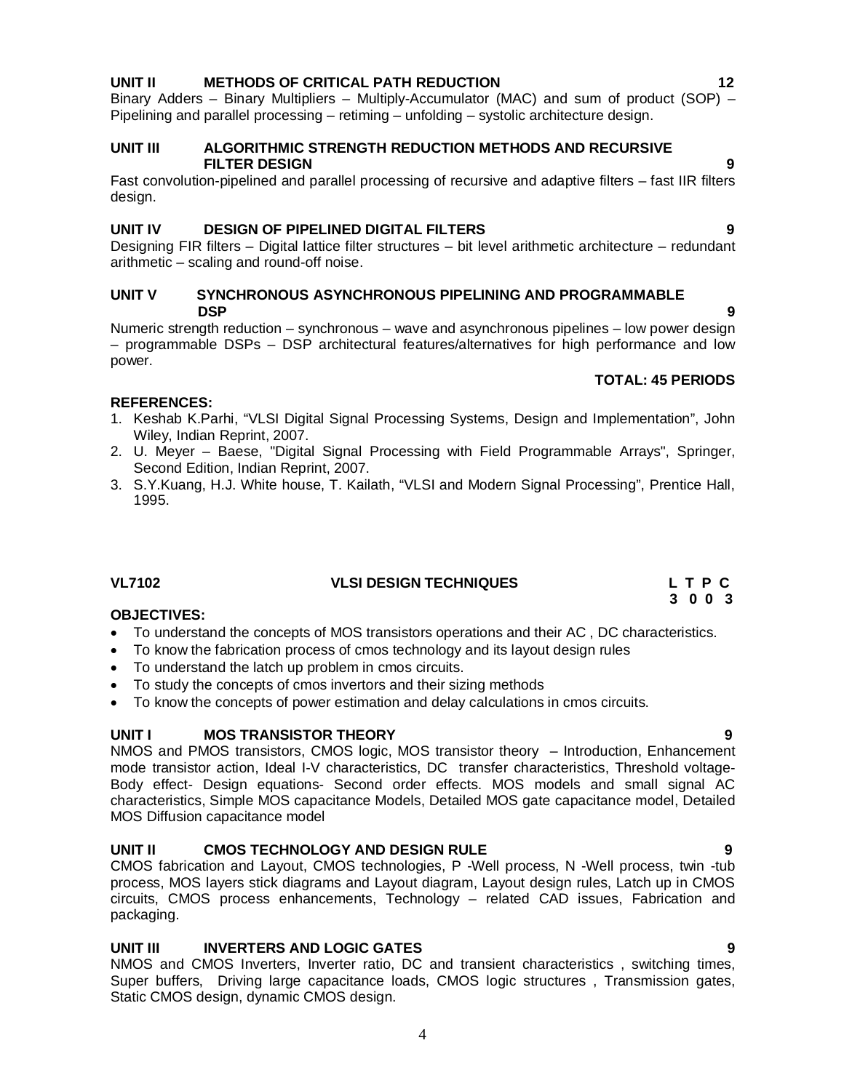#### **UNIT II METHODS OF CRITICAL PATH REDUCTION 12**

Binary Adders – Binary Multipliers – Multiply-Accumulator (MAC) and sum of product (SOP) – Pipelining and parallel processing – retiming – unfolding – systolic architecture design.

#### **UNIT III ALGORITHMIC STRENGTH REDUCTION METHODS AND RECURSIVE FILTER DESIGN** 9

Fast convolution-pipelined and parallel processing of recursive and adaptive filters – fast IIR filters design.

#### **UNIT IV DESIGN OF PIPELINED DIGITAL FILTERS 9**

Designing FIR filters – Digital lattice filter structures – bit level arithmetic architecture – redundant arithmetic – scaling and round-off noise.

#### **UNIT V SYNCHRONOUS ASYNCHRONOUS PIPELINING AND PROGRAMMABLE DSP** 9

Numeric strength reduction – synchronous – wave and asynchronous pipelines – low power design – programmable DSPs – DSP architectural features/alternatives for high performance and low power.

### **REFERENCES:**

- 1. Keshab K.Parhi, "VLSI Digital Signal Processing Systems, Design and Implementation", John Wiley, Indian Reprint, 2007.
- 2. U. Meyer Baese, "Digital Signal Processing with Field Programmable Arrays", Springer, Second Edition, Indian Reprint, 2007.
- 3. S.Y.Kuang, H.J. White house, T. Kailath, "VLSI and Modern Signal Processing", Prentice Hall, 1995.

#### **VL7102 VLSI DESIGN TECHNIQUES L T P C**

#### **OBJECTIVES:**

- To understand the concepts of MOS transistors operations and their AC , DC characteristics.
- To know the fabrication process of cmos technology and its layout design rules
- To understand the latch up problem in cmos circuits.
- To study the concepts of cmos invertors and their sizing methods
- To know the concepts of power estimation and delay calculations in cmos circuits.

#### **UNIT I MOS TRANSISTOR THEORY 9**

NMOS and PMOS transistors, CMOS logic, MOS transistor theory – Introduction, Enhancement mode transistor action, Ideal I-V characteristics, DC transfer characteristics, Threshold voltage-Body effect- Design equations- Second order effects. MOS models and small signal AC characteristics, Simple MOS capacitance Models, Detailed MOS gate capacitance model, Detailed MOS Diffusion capacitance model

#### **UNIT II CMOS TECHNOLOGY AND DESIGN RULE 9**

CMOS fabrication and Layout, CMOS technologies, P -Well process, N -Well process, twin -tub process, MOS layers stick diagrams and Layout diagram, Layout design rules, Latch up in CMOS circuits, CMOS process enhancements, Technology – related CAD issues, Fabrication and packaging.

### **UNIT III INVERTERS AND LOGIC GATES 9**

NMOS and CMOS Inverters, Inverter ratio, DC and transient characteristics , switching times, Super buffers, Driving large capacitance loads, CMOS logic structures , Transmission gates, Static CMOS design, dynamic CMOS design.

#### **TOTAL: 45 PERIODS**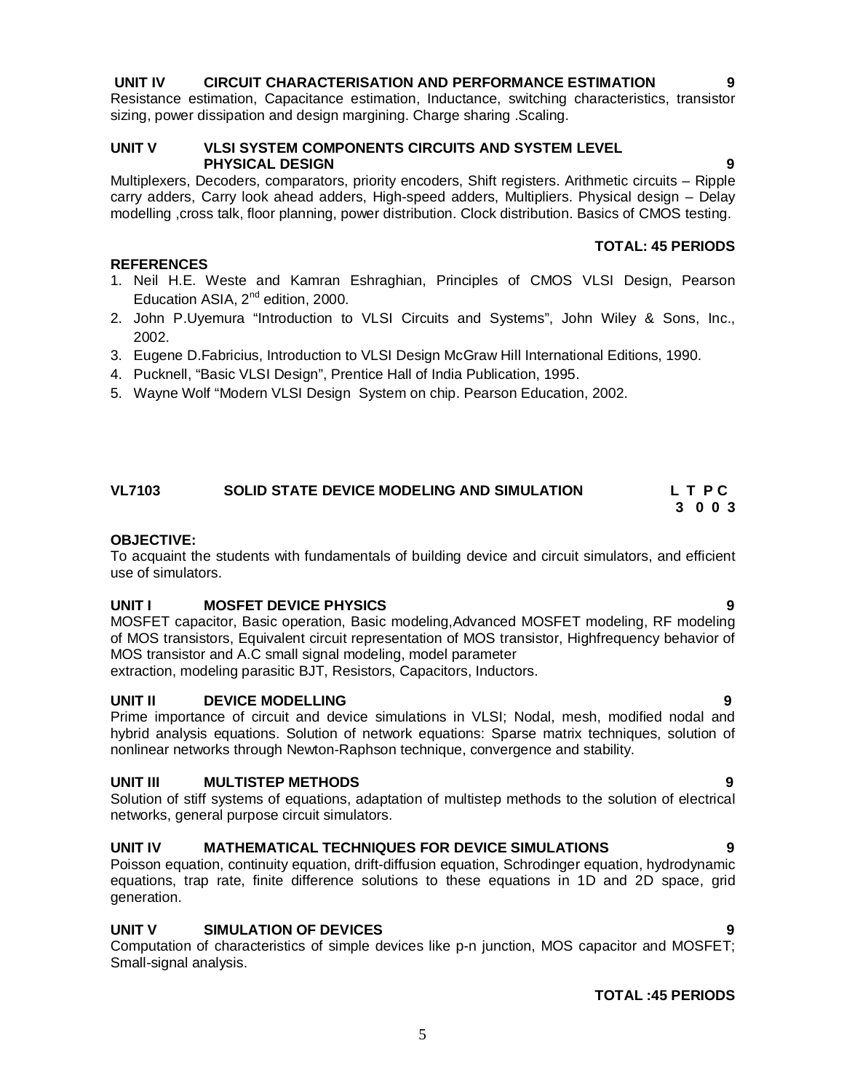### **UNIT IV CIRCUIT CHARACTERISATION AND PERFORMANCE ESTIMATION**

Resistance estimation, Capacitance estimation, Inductance, switching characteristics, transistor sizing, power dissipation and design margining. Charge sharing . Scaling.

#### **UNIT V VLSI SYSTEM COMPONENTS CIRCUITS AND SYSTEM LEVEL PHYSICAL DESIGN 9**

Multiplexers, Decoders, comparators, priority encoders, Shift registers. Arithmetic circuits – Ripple carry adders, Carry look ahead adders, High-speed adders, Multipliers. Physical design – Delay modelling ,cross talk, floor planning, power distribution. Clock distribution. Basics of CMOS testing.

#### **TOTAL: 45 PERIODS**

- 1. Neil H.E. Weste and Kamran Eshraghian, Principles of CMOS VLSI Design, Pearson Education ASIA, 2<sup>nd</sup> edition, 2000.
- 2. John P.Uyemura "Introduction to VLSI Circuits and Systems", John Wiley & Sons, Inc., 2002.
- 3. Eugene D.Fabricius, Introduction to VLSI Design McGraw Hill International Editions, 1990.
- 4. Pucknell, "Basic VLSI Design", Prentice Hall of India Publication, 1995.
- 5. Wayne Wolf "Modern VLSI Design System on chip. Pearson Education, 2002.

#### **VL7103 SOLID STATE DEVICE MODELING AND SIMULATION L T P C 3 0 0 3**

#### **OBJECTIVE:**

**REFERENCES**

To acquaint the students with fundamentals of building device and circuit simulators, and efficient use of simulators.

#### **UNIT I MOSFET DEVICE PHYSICS 9**

MOSFET capacitor, Basic operation, Basic modeling,Advanced MOSFET modeling, RF modeling of MOS transistors, Equivalent circuit representation of MOS transistor, Highfrequency behavior of MOS transistor and A.C small signal modeling, model parameter extraction, modeling parasitic BJT, Resistors, Capacitors, Inductors.

**UNIT II DEVICE MODELLING 9**

Prime importance of circuit and device simulations in VLSI; Nodal, mesh, modified nodal and hybrid analysis equations. Solution of network equations: Sparse matrix techniques, solution of nonlinear networks through Newton-Raphson technique, convergence and stability.

#### **UNIT III MULTISTEP METHODS 9**

Solution of stiff systems of equations, adaptation of multistep methods to the solution of electrical networks, general purpose circuit simulators.

#### **UNIT IV MATHEMATICAL TECHNIQUES FOR DEVICE SIMULATIONS 9**

Poisson equation, continuity equation, drift-diffusion equation, Schrodinger equation, hydrodynamic equations, trap rate, finite difference solutions to these equations in 1D and 2D space, grid generation.

#### **UNIT V SIMULATION OF DEVICES 9**

Computation of characteristics of simple devices like p-n junction, MOS capacitor and MOSFET; Small-signal analysis.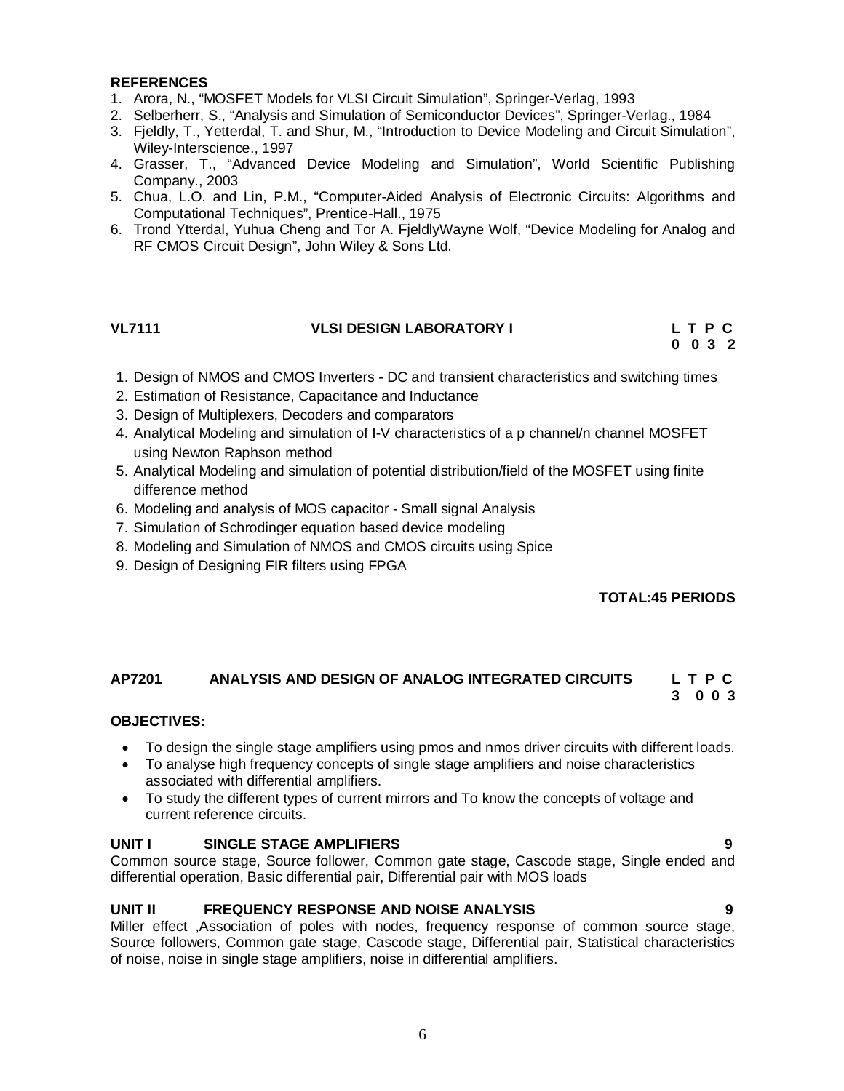#### **REFERENCES**

- 1. Arora, N., "MOSFET Models for VLSI Circuit Simulation", Springer-Verlag, 1993
- 2. Selberherr, S., "Analysis and Simulation of Semiconductor Devices", Springer-Verlag., 1984
- 3. Fjeldly, T., Yetterdal, T. and Shur, M., "Introduction to Device Modeling and Circuit Simulation", Wiley-Interscience., 1997
- 4. Grasser, T., "Advanced Device Modeling and Simulation", World Scientific Publishing Company., 2003
- 5. Chua, L.O. and Lin, P.M., "Computer-Aided Analysis of Electronic Circuits: Algorithms and Computational Techniques", Prentice-Hall., 1975
- 6. Trond Ytterdal, Yuhua Cheng and Tor A. FjeldlyWayne Wolf, "Device Modeling for Analog and RF CMOS Circuit Design", John Wiley & Sons Ltd.

#### **VL7111 VLSI DESIGN LABORATORY I L T P C**

**0 0 3 2**

- 1. Design of NMOS and CMOS Inverters DC and transient characteristics and switching times
- 2. Estimation of Resistance, Capacitance and Inductance
- 3. Design of Multiplexers, Decoders and comparators
- 4. Analytical Modeling and simulation of I-V characteristics of a p channel/n channel MOSFET using Newton Raphson method
- 5. Analytical Modeling and simulation of potential distribution/field of the MOSFET using finite difference method
- 6. Modeling and analysis of MOS capacitor Small signal Analysis
- 7. Simulation of Schrodinger equation based device modeling
- 8. Modeling and Simulation of NMOS and CMOS circuits using Spice
- 9. Design of Designing FIR filters using FPGA

### **TOTAL:45 PERIODS**

#### **AP7201 ANALYSIS AND DESIGN OF ANALOG INTEGRATED CIRCUITS L T P C 3 0 0 3**

#### **OBJECTIVES:**

- To design the single stage amplifiers using pmos and nmos driver circuits with different loads.
- To analyse high frequency concepts of single stage amplifiers and noise characteristics associated with differential amplifiers.
- To study the different types of current mirrors and To know the concepts of voltage and current reference circuits.

#### **UNIT I SINGLE STAGE AMPLIFIERS 9**

Common source stage, Source follower, Common gate stage, Cascode stage, Single ended and differential operation, Basic differential pair, Differential pair with MOS loads

### **UNIT II FREQUENCY RESPONSE AND NOISE ANALYSIS 9**

Miller effect ,Association of poles with nodes, frequency response of common source stage, Source followers, Common gate stage, Cascode stage, Differential pair, Statistical characteristics of noise, noise in single stage amplifiers, noise in differential amplifiers.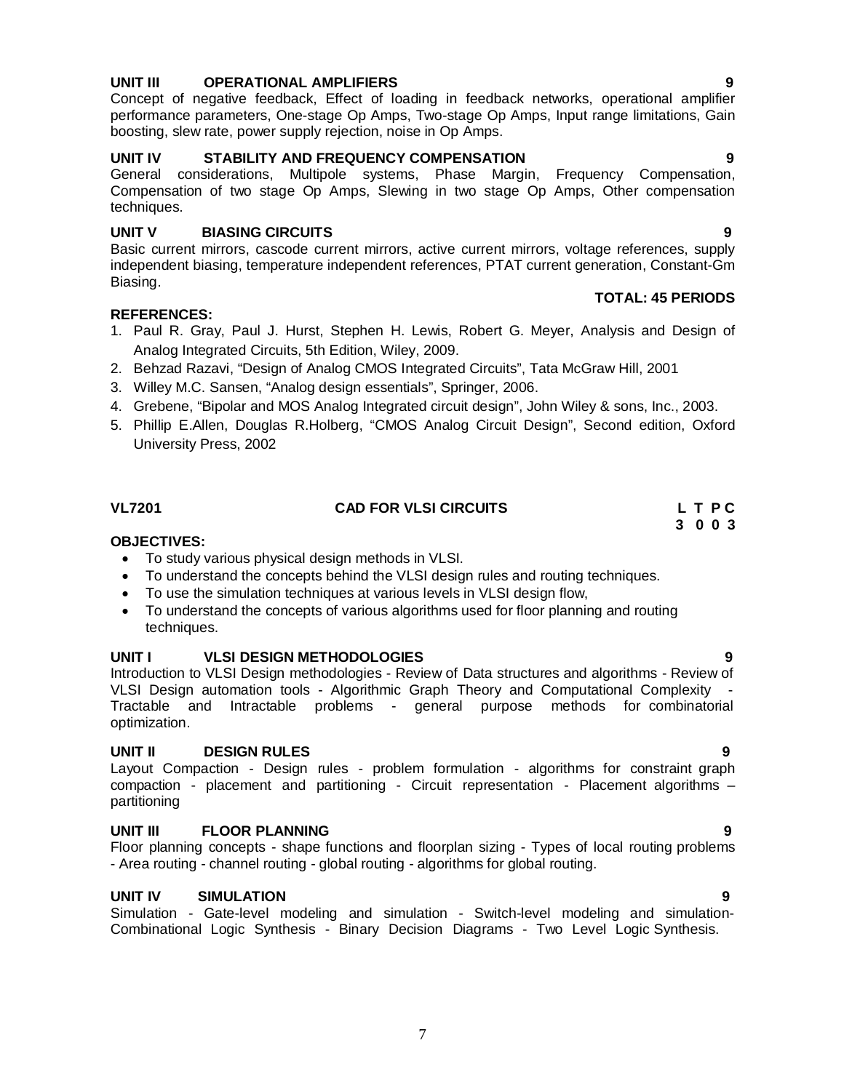#### **UNIT III OPERATIONAL AMPLIFIERS 9**

Concept of negative feedback, Effect of loading in feedback networks, operational amplifier performance parameters, One-stage Op Amps, Two-stage Op Amps, Input range limitations, Gain boosting, slew rate, power supply rejection, noise in Op Amps.

### **UNIT IV STABILITY AND FREQUENCY COMPENSATION 9**

General considerations, Multipole systems, Phase Margin, Frequency Compensation, Compensation of two stage Op Amps, Slewing in two stage Op Amps, Other compensation techniques.

### **UNIT V BIASING CIRCUITS 9**

Basic current mirrors, cascode current mirrors, active current mirrors, voltage references, supply independent biasing, temperature independent references, PTAT current generation, Constant-Gm Biasing. **TOTAL: 45 PERIODS**

#### **REFERENCES:**

- 1. Paul R. Gray, Paul J. Hurst, Stephen H. Lewis, Robert G. Meyer, Analysis and Design of Analog Integrated Circuits, 5th Edition, Wiley, 2009.
- 2. Behzad Razavi, "Design of Analog CMOS Integrated Circuits", Tata McGraw Hill, 2001
- 3. Willey M.C. Sansen, "Analog design essentials", Springer, 2006.
- 4. Grebene, "Bipolar and MOS Analog Integrated circuit design", John Wiley & sons, Inc., 2003.
- 5. Phillip E.Allen, Douglas R.Holberg, "CMOS Analog Circuit Design", Second edition, Oxford University Press, 2002

#### **VL7201 CAD FOR VLSI CIRCUITS L T P C**

#### **OBJECTIVES:**

- To study various physical design methods in VLSI.
- To understand the concepts behind the VLSI design rules and routing techniques.
- To use the simulation techniques at various levels in VLSI design flow,
- To understand the concepts of various algorithms used for floor planning and routing techniques.

#### **UNIT I VLSI DESIGN METHODOLOGIES 9**

Introduction to VLSI Design methodologies - Review of Data structures and algorithms - Review of VLSI Design automation tools - Algorithmic Graph Theory and Computational Complexity - Tractable and Intractable problems - general purpose methods for combinatorial optimization.

#### **UNIT II DESIGN RULES 9**

Layout Compaction - Design rules - problem formulation - algorithms for constraint graph compaction - placement and partitioning - Circuit representation - Placement algorithms – partitioning

#### **UNIT III FLOOR PLANNING 9**

Floor planning concepts - shape functions and floorplan sizing - Types of local routing problems - Area routing - channel routing - global routing - algorithms for global routing.

#### **UNIT IV SIMULATION 9**

Simulation - Gate-level modeling and simulation - Switch-level modeling and simulation-Combinational Logic Synthesis - Binary Decision Diagrams - Two Level Logic Synthesis.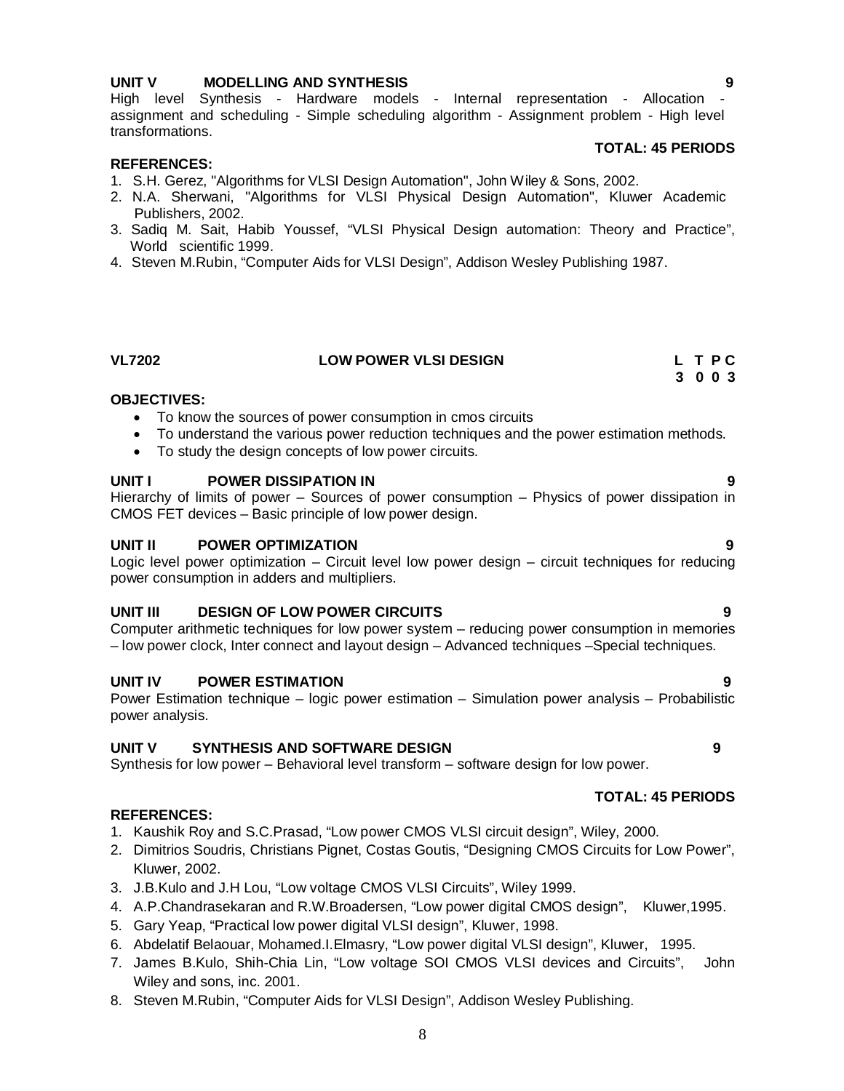#### **UNIT V MODELLING AND SYNTHESIS 9**

High level Synthesis - Hardware models - Internal representation - Allocation assignment and scheduling - Simple scheduling algorithm - Assignment problem - High level transformations.

#### **TOTAL: 45 PERIODS**

#### **REFERENCES:**

- 1. S.H. Gerez, "Algorithms for VLSI Design Automation", John Wiley & Sons, 2002.
- 2. N.A. Sherwani, "Algorithms for VLSI Physical Design Automation", Kluwer Academic Publishers, 2002.
- 3. Sadiq M. Sait, Habib Youssef, "VLSI Physical Design automation: Theory and Practice", World scientific 1999.
- 4. Steven M.Rubin, "Computer Aids for VLSI Design", Addison Wesley Publishing 1987.

#### **VL7202 LOW POWER VLSI DESIGN L T P C 3 0 0 3**

#### **OBJECTIVES:**

- To know the sources of power consumption in cmos circuits
- To understand the various power reduction techniques and the power estimation methods.
- To study the design concepts of low power circuits.

#### **UNIT I POWER DISSIPATION IN 9**

Hierarchy of limits of power – Sources of power consumption – Physics of power dissipation in CMOS FET devices – Basic principle of low power design.

#### **UNIT II POWER OPTIMIZATION 9**

Logic level power optimization – Circuit level low power design – circuit techniques for reducing power consumption in adders and multipliers.

#### **UNIT III DESIGN OF LOW POWER CIRCUITS 9**

Computer arithmetic techniques for low power system – reducing power consumption in memories – low power clock, Inter connect and layout design – Advanced techniques –Special techniques.

#### **UNIT IV POWER ESTIMATION 9**

Power Estimation technique – logic power estimation – Simulation power analysis – Probabilistic power analysis.

#### **UNIT V SYNTHESIS AND SOFTWARE DESIGN 9**

Synthesis for low power – Behavioral level transform – software design for low power.

#### **REFERENCES:**

- 1. Kaushik Roy and S.C.Prasad, "Low power CMOS VLSI circuit design", Wiley, 2000.
- 2. Dimitrios Soudris, Christians Pignet, Costas Goutis, "Designing CMOS Circuits for Low Power", Kluwer, 2002.
- 3. J.B.Kulo and J.H Lou, "Low voltage CMOS VLSI Circuits", Wiley 1999.
- 4. A.P.Chandrasekaran and R.W.Broadersen, "Low power digital CMOS design", Kluwer,1995.
- 5. Gary Yeap, "Practical low power digital VLSI design", Kluwer, 1998.
- 6. Abdelatif Belaouar, Mohamed.I.Elmasry, "Low power digital VLSI design", Kluwer, 1995.
- 7. James B.Kulo, Shih-Chia Lin, "Low voltage SOI CMOS VLSI devices and Circuits", John Wiley and sons, inc. 2001.
- 8. Steven M.Rubin, "Computer Aids for VLSI Design", Addison Wesley Publishing.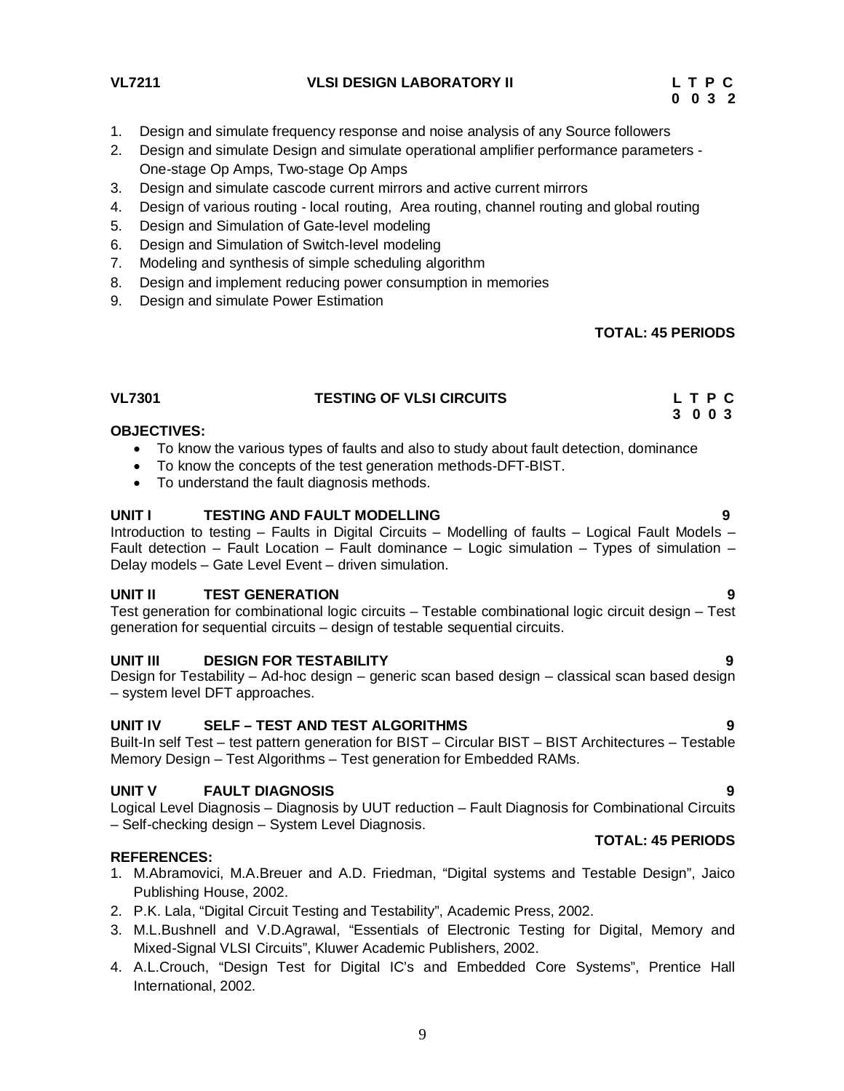**VL7211 VLSI DESIGN LABORATORY II L T P C**

- 1. Design and simulate frequency response and noise analysis of any Source followers
- 2. Design and simulate Design and simulate operational amplifier performance parameters One-stage Op Amps, Two-stage Op Amps
- 3. Design and simulate cascode current mirrors and active current mirrors
- 4. Design of various routing local routing, Area routing, channel routing and global routing
- 5. Design and Simulation of Gate-level modeling
- 6. Design and Simulation of Switch-level modeling
- 7. Modeling and synthesis of simple scheduling algorithm
- 8. Design and implement reducing power consumption in memories
- 9. Design and simulate Power Estimation

#### **TOTAL: 45 PERIODS**

### **VL7301 TESTING OF VLSI CIRCUITS L T P C**

#### **3 0 0 3 OBJECTIVES:**

- To know the various types of faults and also to study about fault detection, dominance
- To know the concepts of the test generation methods-DFT-BIST.
- To understand the fault diagnosis methods.

#### **UNIT I TESTING AND FAULT MODELLING 9**

Introduction to testing – Faults in Digital Circuits – Modelling of faults – Logical Fault Models – Fault detection – Fault Location – Fault dominance – Logic simulation – Types of simulation – Delay models – Gate Level Event – driven simulation.

#### **UNIT II TEST GENERATION 9**

Test generation for combinational logic circuits – Testable combinational logic circuit design – Test generation for sequential circuits – design of testable sequential circuits.

#### **UNIT III DESIGN FOR TESTABILITY 9**

Design for Testability – Ad-hoc design – generic scan based design – classical scan based design – system level DFT approaches.

#### **UNIT IV SELF – TEST AND TEST ALGORITHMS 9**

Built-In self Test – test pattern generation for BIST – Circular BIST – BIST Architectures – Testable Memory Design – Test Algorithms – Test generation for Embedded RAMs.

#### **UNIT V FAULT DIAGNOSIS 9**

Logical Level Diagnosis – Diagnosis by UUT reduction – Fault Diagnosis for Combinational Circuits – Self-checking design – System Level Diagnosis.

#### **REFERENCES:**

- 1. M.Abramovici, M.A.Breuer and A.D. Friedman, "Digital systems and Testable Design", Jaico Publishing House, 2002.
- 2. P.K. Lala, "Digital Circuit Testing and Testability", Academic Press, 2002.
- 3. M.L.Bushnell and V.D.Agrawal, "Essentials of Electronic Testing for Digital, Memory and Mixed-Signal VLSI Circuits", Kluwer Academic Publishers, 2002.
- 4. A.L.Crouch, "Design Test for Digital IC's and Embedded Core Systems", Prentice Hall International, 2002.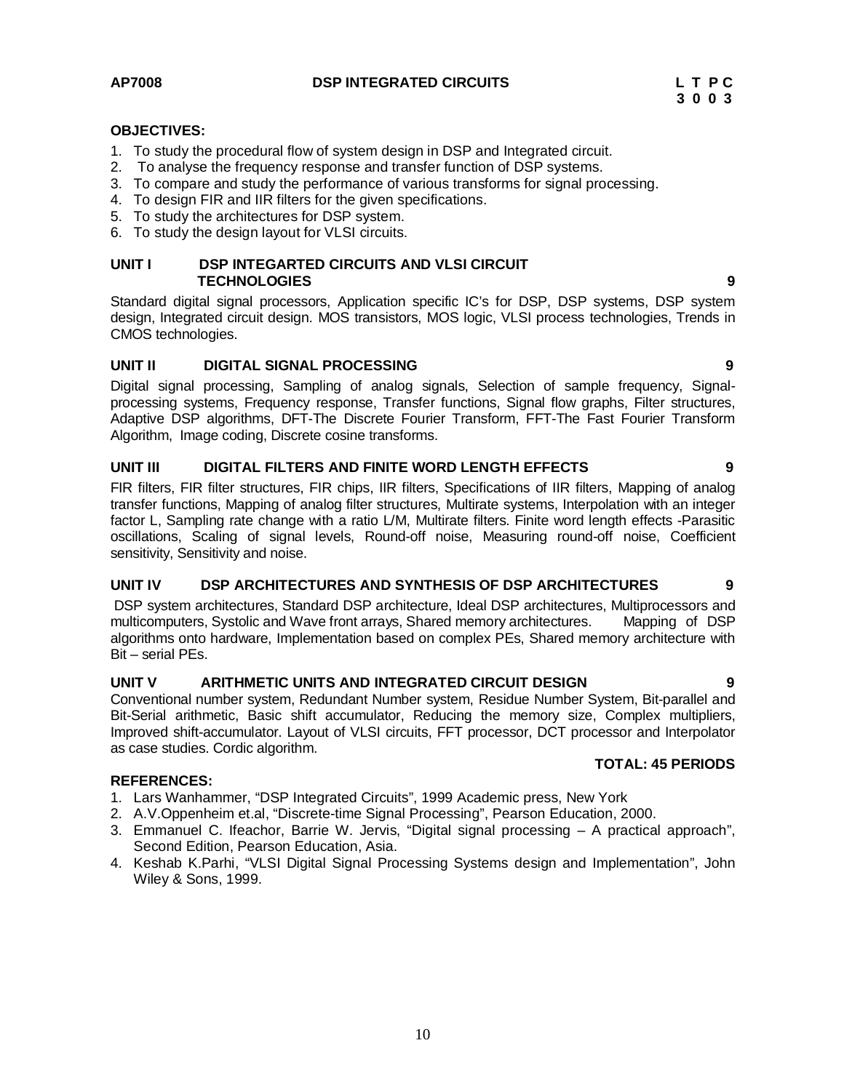AP7008 **DSP INTEGRATED CIRCUITS** L T P C 2 3 0 0 3

**TOTAL: 45 PERIODS**

#### **OBJECTIVES:**

- 1. To study the procedural flow of system design in DSP and Integrated circuit.
- 2. To analyse the frequency response and transfer function of DSP systems.
- 3. To compare and study the performance of various transforms for signal processing.
- 4. To design FIR and IIR filters for the given specifications.
- 5. To study the architectures for DSP system.
- 6. To study the design layout for VLSI circuits.

#### UNIT I DSP INTEGARTED CIRCUITS AND VLSI CIRCUIT  **TECHNOLOGIES 9**

Standard digital signal processors, Application specific IC's for DSP, DSP systems, DSP system design, Integrated circuit design. MOS transistors, MOS logic, VLSI process technologies, Trends in CMOS technologies.

#### **UNIT II DIGITAL SIGNAL PROCESSING 9**

Digital signal processing, Sampling of analog signals, Selection of sample frequency, Signalprocessing systems, Frequency response, Transfer functions, Signal flow graphs, Filter structures, Adaptive DSP algorithms, DFT-The Discrete Fourier Transform, FFT-The Fast Fourier Transform Algorithm, Image coding, Discrete cosine transforms.

#### **UNIT III DIGITAL FILTERS AND FINITE WORD LENGTH EFFECTS 9**

FIR filters, FIR filter structures, FIR chips, IIR filters, Specifications of IIR filters, Mapping of analog transfer functions, Mapping of analog filter structures, Multirate systems, Interpolation with an integer factor L, Sampling rate change with a ratio L/M, Multirate filters. Finite word length effects -Parasitic oscillations, Scaling of signal levels, Round-off noise, Measuring round-off noise, Coefficient sensitivity, Sensitivity and noise.

#### **UNIT IV DSP ARCHITECTURES AND SYNTHESIS OF DSP ARCHITECTURES 9**

DSP system architectures, Standard DSP architecture, Ideal DSP architectures, Multiprocessors and multicomputers, Systolic and Wave front arrays, Shared memory architectures. Mapping of DSP algorithms onto hardware, Implementation based on complex PEs, Shared memory architecture with Bit – serial PEs.

### **UNIT V ARITHMETIC UNITS AND INTEGRATED CIRCUIT DESIGN 9**

Conventional number system, Redundant Number system, Residue Number System, Bit-parallel and Bit-Serial arithmetic, Basic shift accumulator, Reducing the memory size, Complex multipliers, Improved shift-accumulator. Layout of VLSI circuits, FFT processor, DCT processor and Interpolator as case studies. Cordic algorithm.

#### **REFERENCES:**

- 1. Lars Wanhammer, "DSP Integrated Circuits", 1999 Academic press, New York
- 2. A.V.Oppenheim et.al, "Discrete-time Signal Processing", Pearson Education, 2000.
- 3. Emmanuel C. Ifeachor, Barrie W. Jervis, "Digital signal processing A practical approach", Second Edition, Pearson Education, Asia.
- 4. Keshab K.Parhi, "VLSI Digital Signal Processing Systems design and Implementation", John Wiley & Sons, 1999.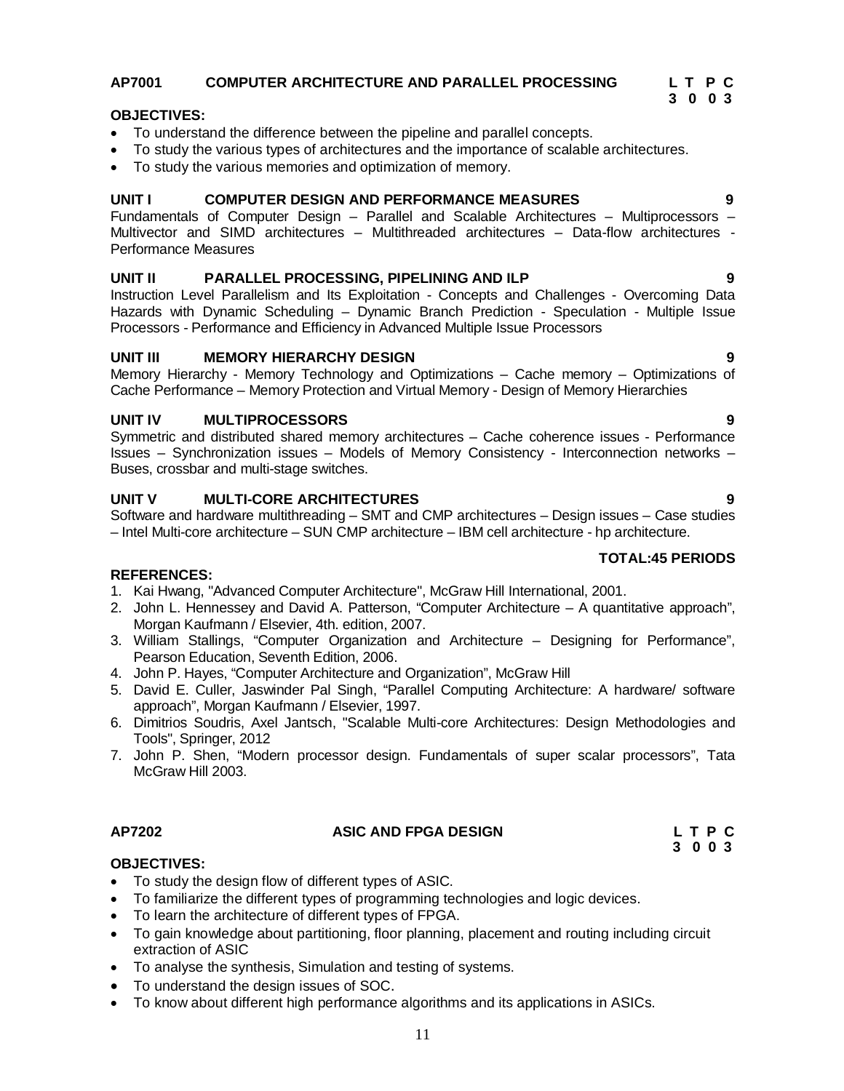# 11

#### **AP7001 COMPUTER ARCHITECTURE AND PARALLEL PROCESSING L T P C 3 0 0 3**

# **OBJECTIVES:**

- To understand the difference between the pipeline and parallel concepts.
- To study the various types of architectures and the importance of scalable architectures.
- To study the various memories and optimization of memory.

# **UNIT I COMPUTER DESIGN AND PERFORMANCE MEASURES 9**

Fundamentals of Computer Design – Parallel and Scalable Architectures – Multiprocessors – Multivector and SIMD architectures – Multithreaded architectures – Data-flow architectures - Performance Measures

# **UNIT II PARALLEL PROCESSING, PIPELINING AND ILP 9**

Instruction Level Parallelism and Its Exploitation - Concepts and Challenges - Overcoming Data Hazards with Dynamic Scheduling – Dynamic Branch Prediction - Speculation - Multiple Issue Processors - Performance and Efficiency in Advanced Multiple Issue Processors

# **UNIT III MEMORY HIERARCHY DESIGN 9**

Memory Hierarchy - Memory Technology and Optimizations – Cache memory – Optimizations of Cache Performance – Memory Protection and Virtual Memory - Design of Memory Hierarchies

# **UNIT IV MULTIPROCESSORS 9**

Symmetric and distributed shared memory architectures – Cache coherence issues - Performance Issues – Synchronization issues – Models of Memory Consistency - Interconnection networks – Buses, crossbar and multi-stage switches.

# **UNIT V MULTI-CORE ARCHITECTURES 9**

Software and hardware multithreading – SMT and CMP architectures – Design issues – Case studies – Intel Multi-core architecture – SUN CMP architecture – IBM cell architecture - hp architecture.

# **TOTAL:45 PERIODS**

## **REFERENCES:**

- 1. Kai Hwang, "Advanced Computer Architecture", McGraw Hill International, 2001.
- 2. John L. Hennessey and David A. Patterson, "Computer Architecture A quantitative approach", Morgan Kaufmann / Elsevier, 4th. edition, 2007.
- 3. William Stallings, "Computer Organization and Architecture Designing for Performance", Pearson Education, Seventh Edition, 2006.
- 4. John P. Hayes, "Computer Architecture and Organization", McGraw Hill
- 5. David E. Culler, Jaswinder Pal Singh, "Parallel Computing Architecture: A hardware/ software approach", Morgan Kaufmann / Elsevier, 1997.
- 6. Dimitrios Soudris, Axel Jantsch, "Scalable Multi-core Architectures: Design Methodologies and Tools", Springer, 2012
- 7. John P. Shen, "Modern processor design. Fundamentals of super scalar processors", Tata McGraw Hill 2003.

# AP7202 ASIC AND FPGA DESIGN L T P C

**3 0 0 3**

# **OBJECTIVES:**

- To study the design flow of different types of ASIC.
- To familiarize the different types of programming technologies and logic devices.
- To learn the architecture of different types of FPGA.
- To gain knowledge about partitioning, floor planning, placement and routing including circuit extraction of ASIC
- To analyse the synthesis, Simulation and testing of systems.
- To understand the design issues of SOC.
- To know about different high performance algorithms and its applications in ASICs.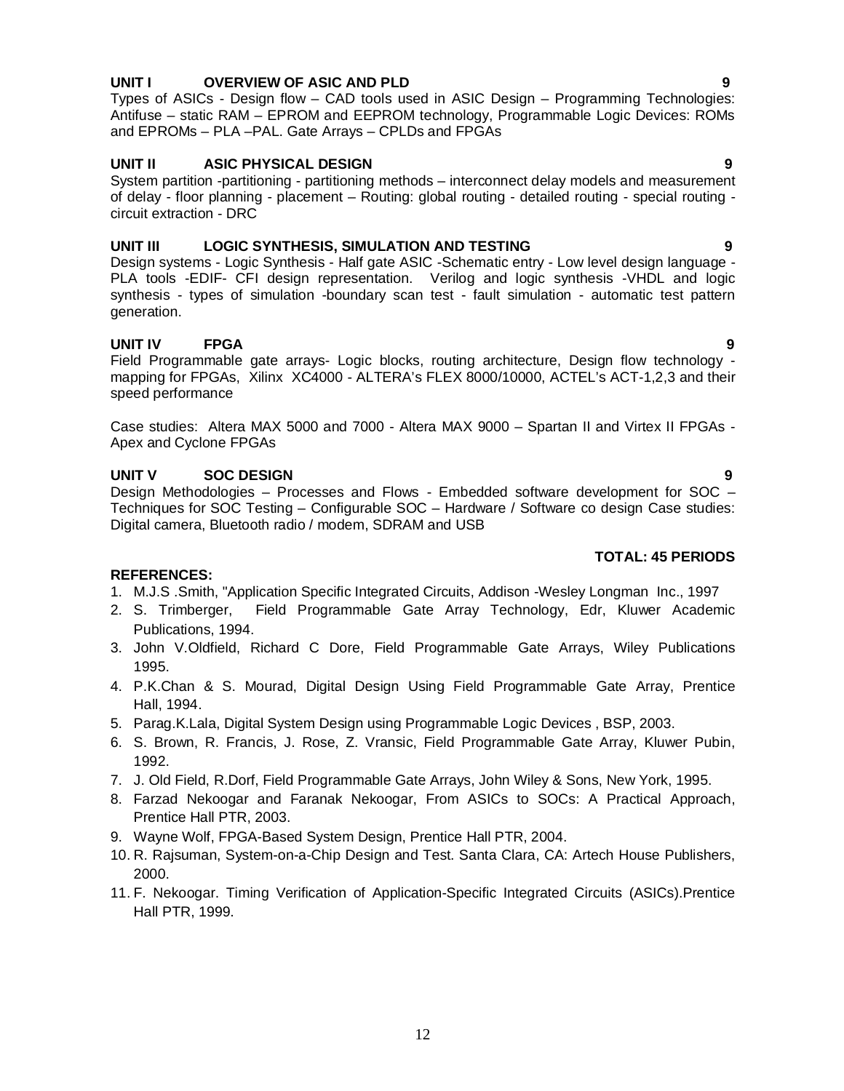### **UNIT I OVERVIEW OF ASIC AND PLD 9**

Types of ASICs - Design flow – CAD tools used in ASIC Design – Programming Technologies: Antifuse – static RAM – EPROM and EEPROM technology, Programmable Logic Devices: ROMs and EPROMs – PLA –PAL. Gate Arrays – CPLDs and FPGAs

### **UNIT II ASIC PHYSICAL DESIGN 9**

System partition -partitioning - partitioning methods – interconnect delay models and measurement of delay - floor planning - placement – Routing: global routing - detailed routing - special routing circuit extraction - DRC

### **UNIT III LOGIC SYNTHESIS, SIMULATION AND TESTING 9**

Design systems - Logic Synthesis - Half gate ASIC -Schematic entry - Low level design language - PLA tools -EDIF- CFI design representation. Verilog and logic synthesis -VHDL and logic synthesis - types of simulation -boundary scan test - fault simulation - automatic test pattern generation.

### **UNIT IV FPGA 9**

Field Programmable gate arrays- Logic blocks, routing architecture, Design flow technology mapping for FPGAs, Xilinx XC4000 - ALTERA's FLEX 8000/10000, ACTEL's ACT-1,2,3 and their speed performance

Case studies: Altera MAX 5000 and 7000 - Altera MAX 9000 – Spartan II and Virtex II FPGAs - Apex and Cyclone FPGAs

### **UNIT V SOC DESIGN 9**

Design Methodologies – Processes and Flows - Embedded software development for SOC – Techniques for SOC Testing – Configurable SOC – Hardware / Software co design Case studies: Digital camera, Bluetooth radio / modem, SDRAM and USB

#### **TOTAL: 45 PERIODS**

### **REFERENCES:**

- 1. M.J.S .Smith, "Application Specific Integrated Circuits, Addison -Wesley Longman Inc., 1997
- 2. S. Trimberger, Field Programmable Gate Array Technology, Edr, Kluwer Academic Publications, 1994.
- 3. John V.Oldfield, Richard C Dore, Field Programmable Gate Arrays, Wiley Publications 1995.
- 4. P.K.Chan & S. Mourad, Digital Design Using Field Programmable Gate Array, Prentice Hall, 1994.
- 5. Parag.K.Lala, Digital System Design using Programmable Logic Devices , BSP, 2003.
- 6. S. Brown, R. Francis, J. Rose, Z. Vransic, Field Programmable Gate Array, Kluwer Pubin, 1992.
- 7. J. Old Field, R.Dorf, Field Programmable Gate Arrays, John Wiley & Sons, New York, 1995.
- 8. Farzad Nekoogar and Faranak Nekoogar, From ASICs to SOCs: A Practical Approach, Prentice Hall PTR, 2003.
- 9. Wayne Wolf, FPGA-Based System Design, Prentice Hall PTR, 2004.
- 10. R. Rajsuman, System-on-a-Chip Design and Test. Santa Clara, CA: Artech House Publishers, 2000.
- 11. F. Nekoogar. Timing Verification of Application-Specific Integrated Circuits (ASICs).Prentice Hall PTR, 1999.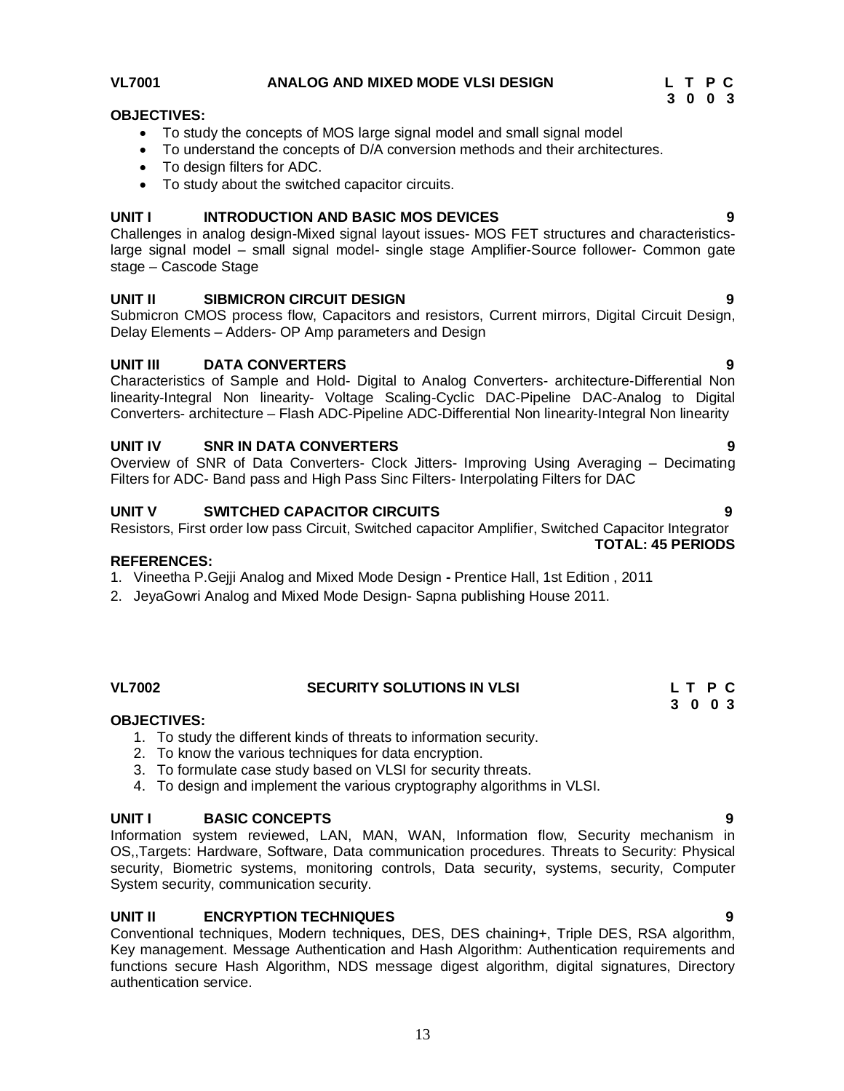#### **VL7001 ANALOG AND MIXED MODE VLSI DESIGN L T P C**

### **OBJECTIVES:**

- To study the concepts of MOS large signal model and small signal model
- To understand the concepts of D/A conversion methods and their architectures.
- To design filters for ADC.
- To study about the switched capacitor circuits.

#### **UNIT I INTRODUCTION AND BASIC MOS DEVICES 9**

Challenges in analog design-Mixed signal layout issues- MOS FET structures and characteristicslarge signal model – small signal model- single stage Amplifier-Source follower- Common gate stage – Cascode Stage

### **UNIT II SIBMICRON CIRCUIT DESIGN 9**

Submicron CMOS process flow, Capacitors and resistors, Current mirrors, Digital Circuit Design, Delay Elements – Adders- OP Amp parameters and Design

### **UNIT III DATA CONVERTERS 9**

Characteristics of Sample and Hold- Digital to Analog Converters- architecture-Differential Non linearity-Integral Non linearity- Voltage Scaling-Cyclic DAC-Pipeline DAC-Analog to Digital Converters- architecture – Flash ADC-Pipeline ADC-Differential Non linearity-Integral Non linearity

#### **UNIT IV SNR IN DATA CONVERTERS 9**

Overview of SNR of Data Converters- Clock Jitters- Improving Using Averaging – Decimating Filters for ADC- Band pass and High Pass Sinc Filters- Interpolating Filters for DAC

#### **UNIT V SWITCHED CAPACITOR CIRCUITS 9**

Resistors, First order low pass Circuit, Switched capacitor Amplifier, Switched Capacitor Integrator

#### **REFERENCES:**

- 1. Vineetha P.Gejji Analog and Mixed Mode Design **-** Prentice Hall, 1st Edition , 2011
- 2. JeyaGowri Analog and Mixed Mode Design- Sapna publishing House 2011.

#### **VL7002 SECURITY SOLUTIONS IN VLSI L T P C**

#### **OBJECTIVES:**

- 1. To study the different kinds of threats to information security.
- 2. To know the various techniques for data encryption.
- 3. To formulate case study based on VLSI for security threats.
- 4. To design and implement the various cryptography algorithms in VLSI.

#### **UNIT I BASIC CONCEPTS 9**

Information system reviewed, LAN, MAN, WAN, Information flow, Security mechanism in OS,,Targets: Hardware, Software, Data communication procedures. Threats to Security: Physical security, Biometric systems, monitoring controls, Data security, systems, security, Computer System security, communication security.

#### **UNIT II ENCRYPTION TECHNIQUES 9**

Conventional techniques, Modern techniques, DES, DES chaining+, Triple DES, RSA algorithm, Key management. Message Authentication and Hash Algorithm: Authentication requirements and functions secure Hash Algorithm, NDS message digest algorithm, digital signatures, Directory authentication service.

**TOTAL: 45 PERIODS**

 **3 0 0 3**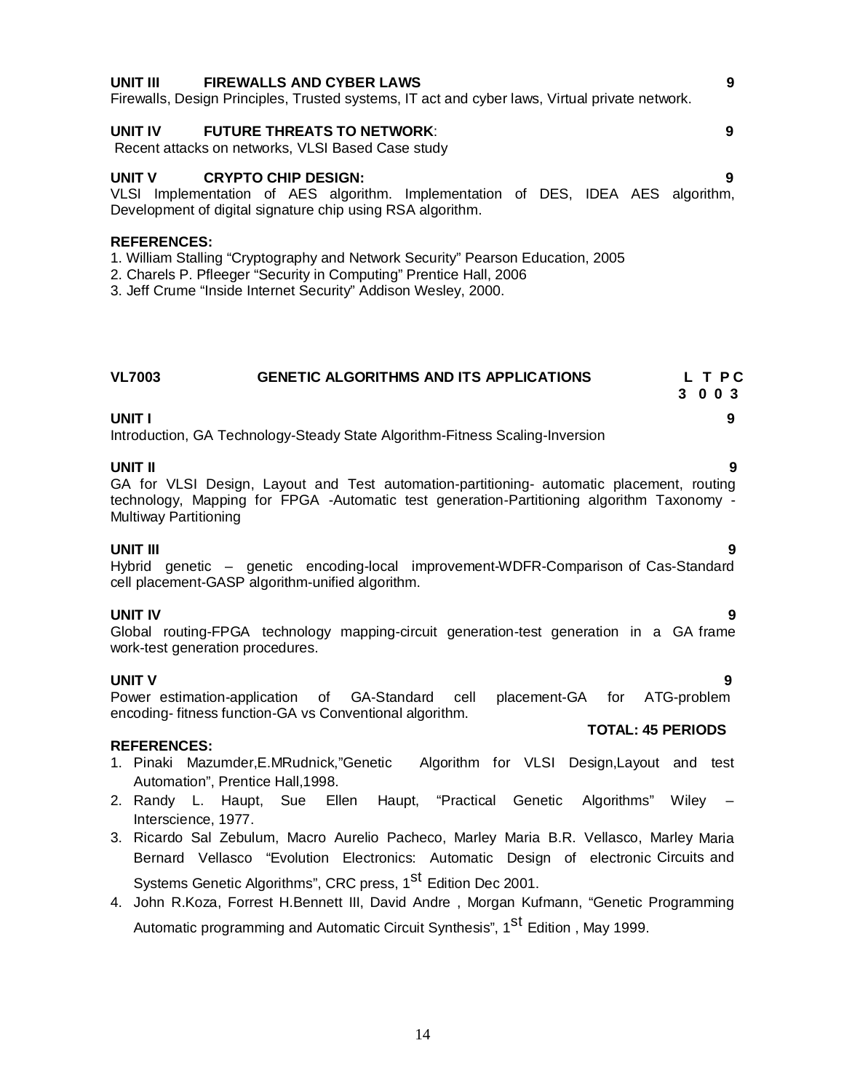Firewalls, Design Principles, Trusted systems, IT act and cyber laws, Virtual private network.

### **UNIT IV FUTURE THREATS TO NETWORK**: **9**

Recent attacks on networks, VLSI Based Case study

#### **UNIT V CRYPTO CHIP DESIGN: 9**

VLSI Implementation of AES algorithm. Implementation of DES, IDEA AES algorithm, Development of digital signature chip using RSA algorithm.

#### **REFERENCES:**

1. William Stalling "Cryptography and Network Security" Pearson Education, 2005

2. Charels P. Pfleeger "Security in Computing" Prentice Hall, 2006

3. Jeff Crume "Inside Internet Security" Addison Wesley, 2000.

#### **VL7003 GENETIC ALGORITHMS AND ITS APPLICATIONS L T P C 3 0 0 3**

**UNIT I 9** Introduction, GA Technology-Steady State Algorithm-Fitness Scaling-Inversion

#### **UNIT II 9**

GA for VLSI Design, Layout and Test automation-partitioning- automatic placement, routing technology, Mapping for FPGA -Automatic test generation-Partitioning algorithm Taxonomy - Multiway Partitioning

**UNIT III 9** Hybrid genetic – genetic encoding-local improvement-WDFR-Comparison of Cas-Standard cell placement-GASP algorithm-unified algorithm.

**UNIT IV 9** Global routing-FPGA technology mapping-circuit generation-test generation in a GA frame work-test generation procedures.

#### **UNIT V 9**

Power estimation-application of GA-Standard cell placement-GA for ATG-problem encoding- fitness function-GA vs Conventional algorithm.

#### **REFERENCES:**

- 1. Pinaki Mazumder,E.MRudnick,"Genetic Algorithm for VLSI Design,Layout and test Automation", Prentice Hall,1998.
- 2. Randy L. Haupt, Sue Ellen Haupt, "Practical Genetic Algorithms" Wiley Interscience, 1977.
- 3. Ricardo Sal Zebulum, Macro Aurelio Pacheco, Marley Maria B.R. Vellasco, Marley Maria Bernard Vellasco "Evolution Electronics: Automatic Design of electronic Circuits and Systems Genetic Algorithms", CRC press, 1<sup>st</sup> Edition Dec 2001.

4. John R.Koza, Forrest H.Bennett III, David Andre , Morgan Kufmann, "Genetic Programming Automatic programming and Automatic Circuit Synthesis", 1<sup>st</sup> Edition , May 1999.

# **UNIT III FIREWALLS AND CYBER LAWS 9**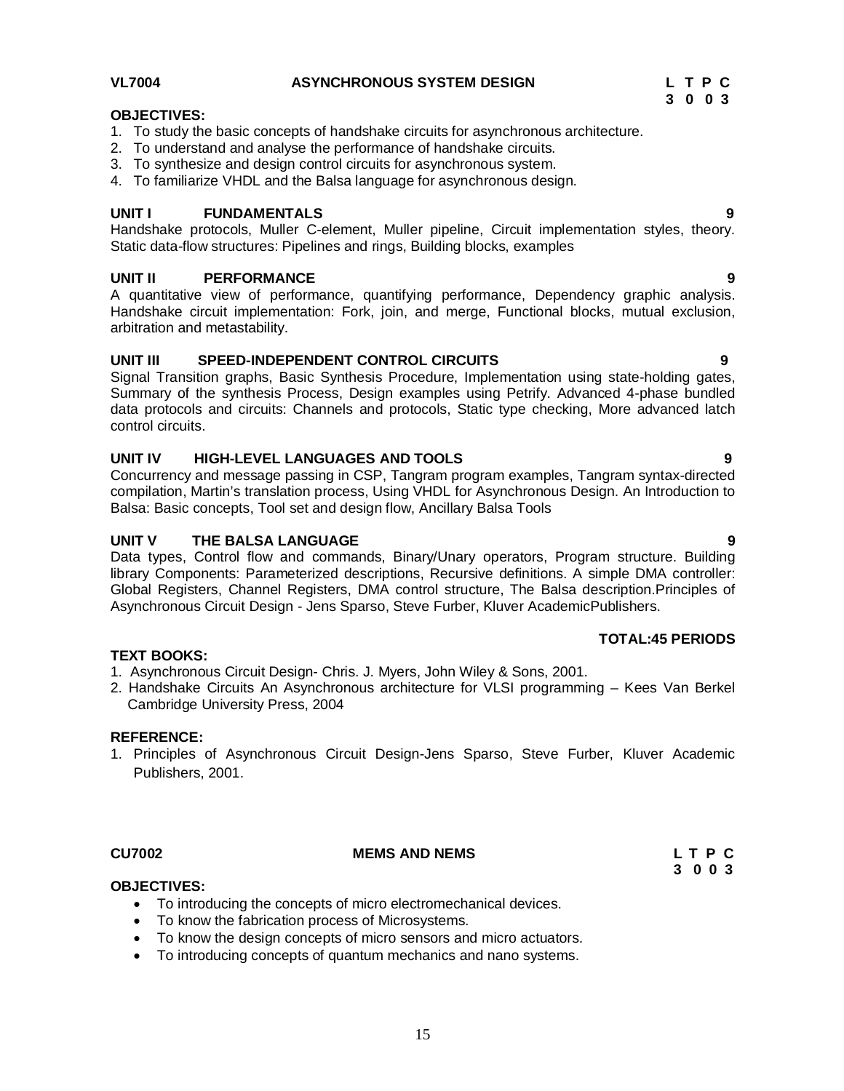#### **VL7004 ASYNCHRONOUS SYSTEM DESIGN L T P C**

### **OBJECTIVES:**

- 1. To study the basic concepts of handshake circuits for asynchronous architecture.
- 2. To understand and analyse the performance of handshake circuits.
- 3. To synthesize and design control circuits for asynchronous system.
- 4. To familiarize VHDL and the Balsa language for asynchronous design.

#### **UNIT I FUNDAMENTALS 9**

Handshake protocols, Muller C-element, Muller pipeline, Circuit implementation styles, theory. Static data-flow structures: Pipelines and rings, Building blocks, examples

#### **UNIT II PERFORMANCE 9**

A quantitative view of performance, quantifying performance, Dependency graphic analysis. Handshake circuit implementation: Fork, join, and merge, Functional blocks, mutual exclusion, arbitration and metastability.

#### **UNIT III SPEED-INDEPENDENT CONTROL CIRCUITS 9**

Signal Transition graphs, Basic Synthesis Procedure, Implementation using state-holding gates, Summary of the synthesis Process, Design examples using Petrify. Advanced 4-phase bundled data protocols and circuits: Channels and protocols, Static type checking, More advanced latch control circuits.

#### **UNIT IV HIGH-LEVEL LANGUAGES AND TOOLS 9**

Concurrency and message passing in CSP, Tangram program examples, Tangram syntax-directed compilation, Martin's translation process, Using VHDL for Asynchronous Design. An Introduction to Balsa: Basic concepts, Tool set and design flow, Ancillary Balsa Tools

#### **UNIT V THE BALSA LANGUAGE 9**

Cambridge University Press, 2004

Data types, Control flow and commands, Binary/Unary operators, Program structure. Building library Components: Parameterized descriptions, Recursive definitions. A simple DMA controller: Global Registers, Channel Registers, DMA control structure, The Balsa description.Principles of Asynchronous Circuit Design - Jens Sparso, Steve Furber, Kluver AcademicPublishers.

2. Handshake Circuits An Asynchronous architecture for VLSI programming – Kees Van Berkel

1. Principles of Asynchronous Circuit Design-Jens Sparso, Steve Furber, Kluver Academic

### **TOTAL:45 PERIODS**

# Publishers, 2001.

**TEXT BOOKS:**

**REFERENCE:**

#### **CU7002 MEMS AND NEMS L T P C**

# **3 0 0 3**

### **OBJECTIVES:**

To introducing the concepts of micro electromechanical devices.

1. Asynchronous Circuit Design- Chris. J. Myers, John Wiley & Sons, 2001.

- To know the fabrication process of Microsystems.
- To know the design concepts of micro sensors and micro actuators.
- To introducing concepts of quantum mechanics and nano systems.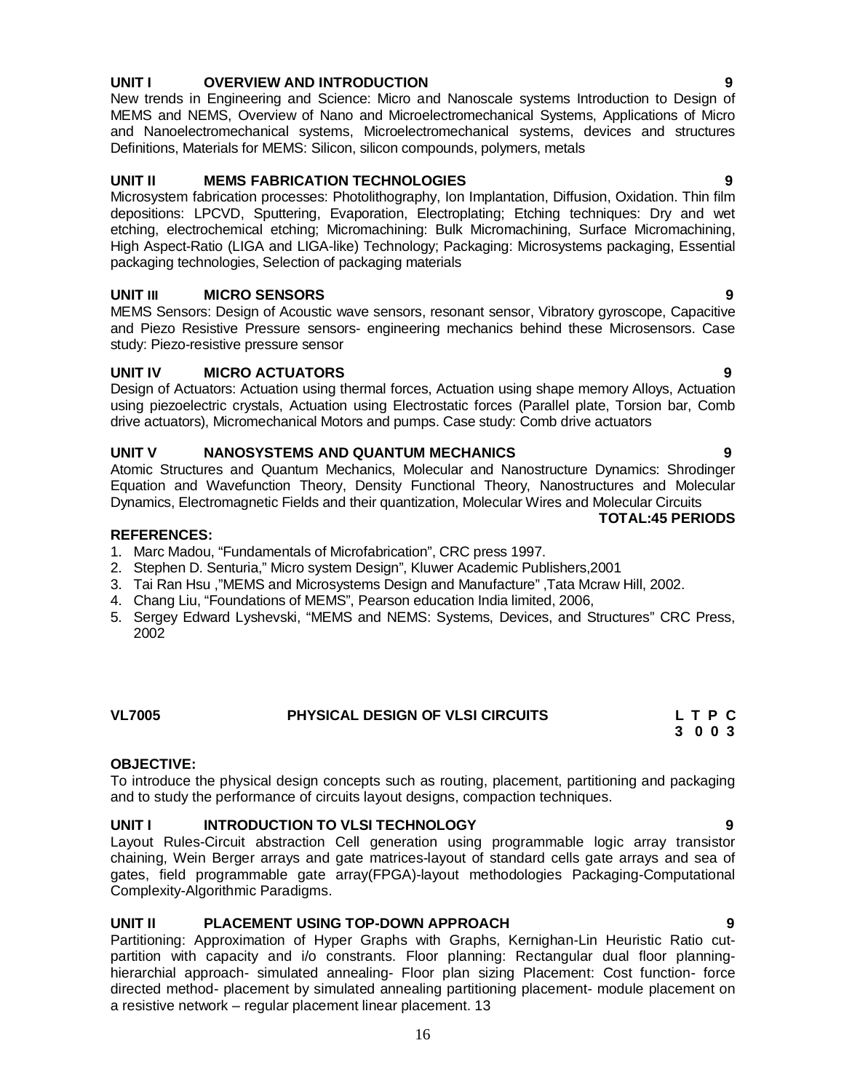### **UNIT I OVERVIEW AND INTRODUCTION 9**

New trends in Engineering and Science: Micro and Nanoscale systems Introduction to Design of MEMS and NEMS, Overview of Nano and Microelectromechanical Systems, Applications of Micro and Nanoelectromechanical systems, Microelectromechanical systems, devices and structures Definitions, Materials for MEMS: Silicon, silicon compounds, polymers, metals

#### **UNIT II MEMS FABRICATION TECHNOLOGIES 9**

Microsystem fabrication processes: Photolithography, Ion Implantation, Diffusion, Oxidation. Thin film depositions: LPCVD, Sputtering, Evaporation, Electroplating; Etching techniques: Dry and wet etching, electrochemical etching; Micromachining: Bulk Micromachining, Surface Micromachining, High Aspect-Ratio (LIGA and LIGA-like) Technology; Packaging: Microsystems packaging, Essential packaging technologies, Selection of packaging materials

#### **UNIT III MICRO SENSORS 9**

MEMS Sensors: Design of Acoustic wave sensors, resonant sensor, Vibratory gyroscope, Capacitive and Piezo Resistive Pressure sensors- engineering mechanics behind these Microsensors. Case study: Piezo-resistive pressure sensor

#### **UNIT IV MICRO ACTUATORS 9**

Design of Actuators: Actuation using thermal forces, Actuation using shape memory Alloys, Actuation using piezoelectric crystals, Actuation using Electrostatic forces (Parallel plate, Torsion bar, Comb drive actuators), Micromechanical Motors and pumps. Case study: Comb drive actuators

#### **UNIT V NANOSYSTEMS AND QUANTUM MECHANICS 9**

Atomic Structures and Quantum Mechanics, Molecular and Nanostructure Dynamics: Shrodinger Equation and Wavefunction Theory, Density Functional Theory, Nanostructures and Molecular Dynamics, Electromagnetic Fields and their quantization, Molecular Wires and Molecular Circuits

#### **REFERENCES:**

- 1. Marc Madou, "Fundamentals of Microfabrication", CRC press 1997.
- 2. Stephen D. Senturia," Micro system Design", Kluwer Academic Publishers,2001
- 3. Tai Ran Hsu ,"MEMS and Microsystems Design and Manufacture" ,Tata Mcraw Hill, 2002.
- 4. Chang Liu, "Foundations of MEMS", Pearson education India limited, 2006,
- 5. Sergey Edward Lyshevski, "MEMS and NEMS: Systems, Devices, and Structures" CRC Press, 2002

| <b>VL7005</b> | <b>PHYSICAL DESIGN OF VLSI CIRCUITS</b> | LTPC    |
|---------------|-----------------------------------------|---------|
|               |                                         | 3 0 0 3 |

#### **OBJECTIVE:**

To introduce the physical design concepts such as routing, placement, partitioning and packaging and to study the performance of circuits layout designs, compaction techniques.

#### **UNIT I INTRODUCTION TO VLSI TECHNOLOGY 9**

Layout Rules-Circuit abstraction Cell generation using programmable logic array transistor chaining, Wein Berger arrays and gate matrices-layout of standard cells gate arrays and sea of gates, field programmable gate array(FPGA)-layout methodologies Packaging-Computational Complexity-Algorithmic Paradigms.

#### **UNIT II PLACEMENT USING TOP-DOWN APPROACH 9**

Partitioning: Approximation of Hyper Graphs with Graphs, Kernighan-Lin Heuristic Ratio cutpartition with capacity and i/o constrants. Floor planning: Rectangular dual floor planninghierarchial approach- simulated annealing- Floor plan sizing Placement: Cost function- force directed method- placement by simulated annealing partitioning placement- module placement on a resistive network – regular placement linear placement. 13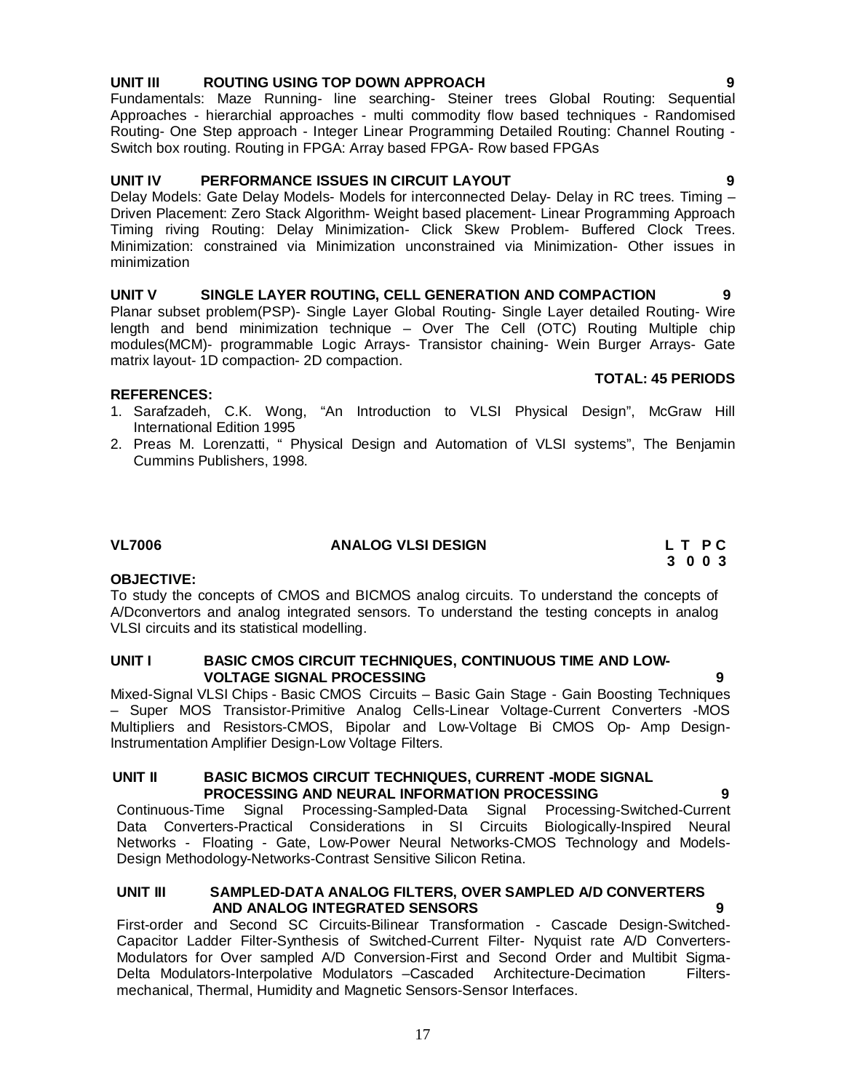### **UNIT III ROUTING USING TOP DOWN APPROACH 9**

Fundamentals: Maze Running- line searching- Steiner trees Global Routing: Sequential Approaches - hierarchial approaches - multi commodity flow based techniques - Randomised Routing- One Step approach - Integer Linear Programming Detailed Routing: Channel Routing - Switch box routing. Routing in FPGA: Array based FPGA- Row based FPGAs

#### **UNIT IV PERFORMANCE ISSUES IN CIRCUIT LAYOUT 9**

Delay Models: Gate Delay Models- Models for interconnected Delay- Delay in RC trees. Timing – Driven Placement: Zero Stack Algorithm- Weight based placement- Linear Programming Approach Timing riving Routing: Delay Minimization- Click Skew Problem- Buffered Clock Trees. Minimization: constrained via Minimization unconstrained via Minimization- Other issues in minimization

# **UNIT V SINGLE LAYER ROUTING, CELL GENERATION AND COMPACTION 9**

Planar subset problem(PSP)- Single Layer Global Routing- Single Layer detailed Routing- Wire length and bend minimization technique – Over The Cell (OTC) Routing Multiple chip modules(MCM)- programmable Logic Arrays- Transistor chaining- Wein Burger Arrays- Gate matrix layout- 1D compaction- 2D compaction.

#### **REFERENCES:**

- 1. Sarafzadeh, C.K. Wong, "An Introduction to VLSI Physical Design", McGraw Hill International Edition 1995
- 2. Preas M. Lorenzatti, " Physical Design and Automation of VLSI systems", The Benjamin Cummins Publishers, 1998.

#### **VL7006 ANALOG VLSI DESIGN L T P C**

#### **OBJECTIVE:**

To study the concepts of CMOS and BICMOS analog circuits. To understand the concepts of A/Dconvertors and analog integrated sensors. To understand the testing concepts in analog VLSI circuits and its statistical modelling.

#### **UNIT I BASIC CMOS CIRCUIT TECHNIQUES, CONTINUOUS TIME AND LOW-VOLTAGE SIGNAL PROCESSING**

Mixed-Signal VLSI Chips - Basic CMOS Circuits – Basic Gain Stage - Gain Boosting Techniques – Super MOS Transistor-Primitive Analog Cells-Linear Voltage-Current Converters -MOS Multipliers and Resistors-CMOS, Bipolar and Low-Voltage Bi CMOS Op- Amp Design-Instrumentation Amplifier Design-Low Voltage Filters.

#### **UNIT II BASIC BICMOS CIRCUIT TECHNIQUES, CURRENT -MODE SIGNAL PROCESSING AND NEURAL INFORMATION PROCESSING**

Continuous-Time Signal Processing-Sampled-Data Signal Processing-Switched-Current Data Converters-Practical Considerations in SI Circuits Biologically-Inspired Neural Networks - Floating - Gate, Low-Power Neural Networks-CMOS Technology and Models-Design Methodology-Networks-Contrast Sensitive Silicon Retina.

#### **UNIT III SAMPLED-DATA ANALOG FILTERS, OVER SAMPLED A/D CONVERTERS AND ANALOG INTEGRATED SENSORS**

First-order and Second SC Circuits-Bilinear Transformation - Cascade Design-Switched-Capacitor Ladder Filter-Synthesis of Switched-Current Filter- Nyquist rate A/D Converters-Modulators for Over sampled A/D Conversion-First and Second Order and Multibit Sigma-Delta Modulators-Interpolative Modulators –Cascaded Architecture-Decimation Filtersmechanical, Thermal, Humidity and Magnetic Sensors-Sensor Interfaces.

### **TOTAL: 45 PERIODS**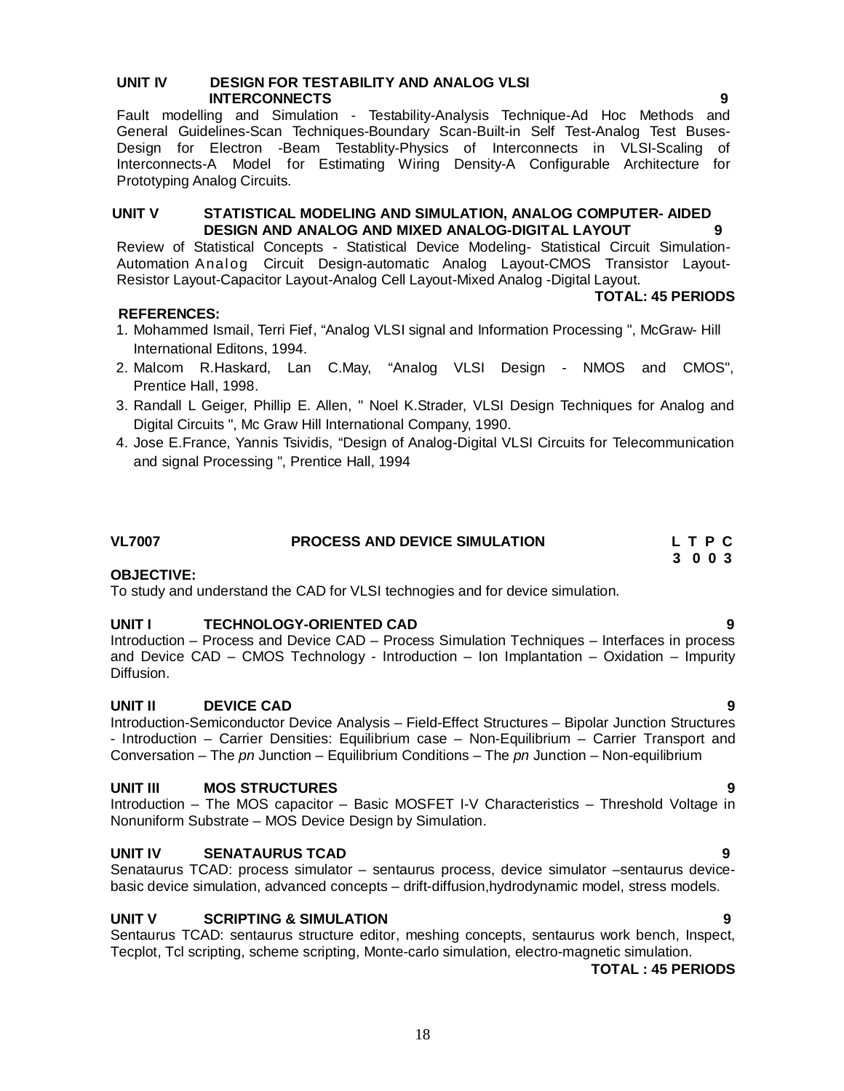#### **UNIT IV DESIGN FOR TESTABILITY AND ANALOG VLSI INTERCONNECTS** 9

Fault modelling and Simulation - Testability-Analysis Technique-Ad Hoc Methods and General Guidelines-Scan Techniques-Boundary Scan-Built-in Self Test-Analog Test Buses-Design for Electron -Beam Testablity-Physics of Interconnects in VLSI-Scaling of Interconnects-A Model for Estimating Wiring Density-A Configurable Architecture for Prototyping Analog Circuits.

#### **UNIT V STATISTICAL MODELING AND SIMULATION, ANALOG COMPUTER- AIDED DESIGN AND ANALOG AND MIXED ANALOG-DIGITAL LAYOUT**

Review of Statistical Concepts - Statistical Device Modeling- Statistical Circuit Simulation-Automation Analog Circuit Design-automatic Analog Layout-CMOS Transistor Layout-Resistor Layout-Capacitor Layout-Analog Cell Layout-Mixed Analog -Digital Layout.

### **REFERENCES:**

- 1. Mohammed Ismail, Terri Fief, "Analog VLSI signal and Information Processing ", McGraw- Hill International Editons, 1994.
- 2. Malcom R.Haskard, Lan C.May, "Analog VLSI Design NMOS and CMOS", Prentice Hall, 1998.
- 3. Randall L Geiger, Phillip E. Allen, " Noel K.Strader, VLSI Design Techniques for Analog and Digital Circuits ", Mc Graw Hill International Company, 1990.
- 4. Jose E.France, Yannis Tsividis, "Design of Analog-Digital VLSI Circuits for Telecommunication and signal Processing ", Prentice Hall, 1994

# **VL7007 PROCESS AND DEVICE SIMULATION L T P C**

#### **3 0 0 3 OBJECTIVE:**

To study and understand the CAD for VLSI technogies and for device simulation.

#### **UNIT I TECHNOLOGY-ORIENTED CAD 9**

Introduction – Process and Device CAD – Process Simulation Techniques – Interfaces in process and Device CAD – CMOS Technology - Introduction – Ion Implantation – Oxidation – Impurity Diffusion.

#### **UNIT II DEVICE CAD 9**

Introduction-Semiconductor Device Analysis – Field-Effect Structures – Bipolar Junction Structures - Introduction – Carrier Densities: Equilibrium case – Non-Equilibrium – Carrier Transport and Conversation – The *pn* Junction – Equilibrium Conditions – The *pn* Junction – Non-equilibrium

#### **UNIT III MOS STRUCTURES 9**

Introduction – The MOS capacitor – Basic MOSFET I-V Characteristics – Threshold Voltage in Nonuniform Substrate – MOS Device Design by Simulation.

#### **UNIT IV SENATAURUS TCAD 9**

Senataurus TCAD: process simulator – sentaurus process, device simulator –sentaurus devicebasic device simulation, advanced concepts – drift-diffusion,hydrodynamic model, stress models.

#### **UNIT V SCRIPTING & SIMULATION 9**

Sentaurus TCAD: sentaurus structure editor, meshing concepts, sentaurus work bench, Inspect, Tecplot, Tcl scripting, scheme scripting, Monte-carlo simulation, electro-magnetic simulation.

#### **TOTAL : 45 PERIODS**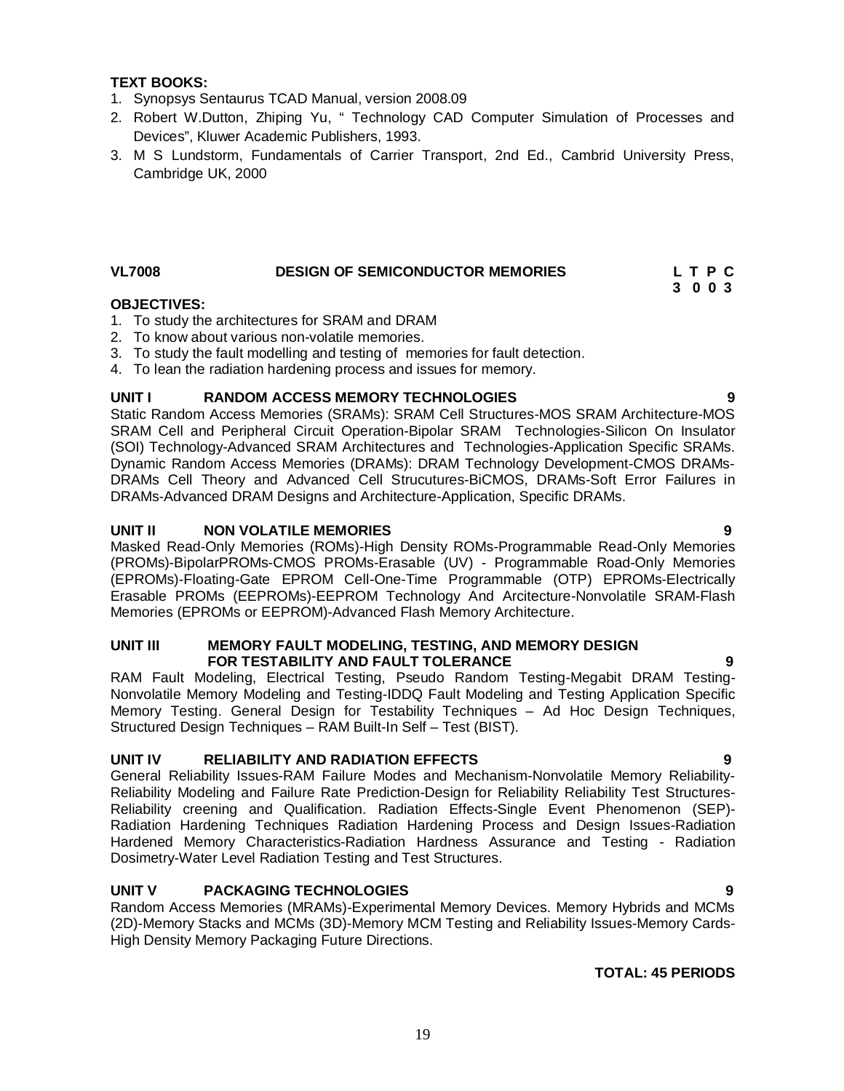#### **TEXT BOOKS:**

- 1. Synopsys Sentaurus TCAD Manual, version 2008.09
- 2. Robert W.Dutton, Zhiping Yu, " Technology CAD Computer Simulation of Processes and Devices", Kluwer Academic Publishers, 1993.
- 3. M S Lundstorm, Fundamentals of Carrier Transport, 2nd Ed., Cambrid University Press, Cambridge UK, 2000

### VL7008 DESIGN OF SEMICONDUCTOR MEMORIES L T P C

# **3 0 0 3**

### **OBJECTIVES:**

- 1. To study the architectures for SRAM and DRAM
- 2. To know about various non-volatile memories.
- 3. To study the fault modelling and testing of memories for fault detection.
- 4. To lean the radiation hardening process and issues for memory.

### **UNIT I RANDOM ACCESS MEMORY TECHNOLOGIES 9**

Static Random Access Memories (SRAMs): SRAM Cell Structures-MOS SRAM Architecture-MOS SRAM Cell and Peripheral Circuit Operation-Bipolar SRAM Technologies-Silicon On Insulator (SOI) Technology-Advanced SRAM Architectures and Technologies-Application Specific SRAMs. Dynamic Random Access Memories (DRAMs): DRAM Technology Development-CMOS DRAMs-DRAMs Cell Theory and Advanced Cell Strucutures-BiCMOS, DRAMs-Soft Error Failures in DRAMs-Advanced DRAM Designs and Architecture-Application, Specific DRAMs.

### **UNIT II NON VOLATILE MEMORIES 9**

Masked Read-Only Memories (ROMs)-High Density ROMs-Programmable Read-Only Memories (PROMs)-BipolarPROMs-CMOS PROMs-Erasable (UV) - Programmable Road-Only Memories (EPROMs)-Floating-Gate EPROM Cell-One-Time Programmable (OTP) EPROMs-Electrically Erasable PROMs (EEPROMs)-EEPROM Technology And Arcitecture-Nonvolatile SRAM-Flash Memories (EPROMs or EEPROM)-Advanced Flash Memory Architecture.

#### **UNIT III MEMORY FAULT MODELING, TESTING, AND MEMORY DESIGN FOR TESTABILITY AND FAULT TOLERANCE 9**

RAM Fault Modeling, Electrical Testing, Pseudo Random Testing-Megabit DRAM Testing-Nonvolatile Memory Modeling and Testing-IDDQ Fault Modeling and Testing Application Specific Memory Testing. General Design for Testability Techniques – Ad Hoc Design Techniques, Structured Design Techniques – RAM Built-In Self – Test (BIST).

#### **UNIT IV RELIABILITY AND RADIATION EFFECTS 9**

General Reliability Issues-RAM Failure Modes and Mechanism-Nonvolatile Memory Reliability-Reliability Modeling and Failure Rate Prediction-Design for Reliability Reliability Test Structures-Reliability creening and Qualification. Radiation Effects-Single Event Phenomenon (SEP)- Radiation Hardening Techniques Radiation Hardening Process and Design Issues-Radiation Hardened Memory Characteristics-Radiation Hardness Assurance and Testing - Radiation Dosimetry-Water Level Radiation Testing and Test Structures.

### **UNIT V PACKAGING TECHNOLOGIES 9**

Random Access Memories (MRAMs)-Experimental Memory Devices. Memory Hybrids and MCMs (2D)-Memory Stacks and MCMs (3D)-Memory MCM Testing and Reliability Issues-Memory Cards-High Density Memory Packaging Future Directions.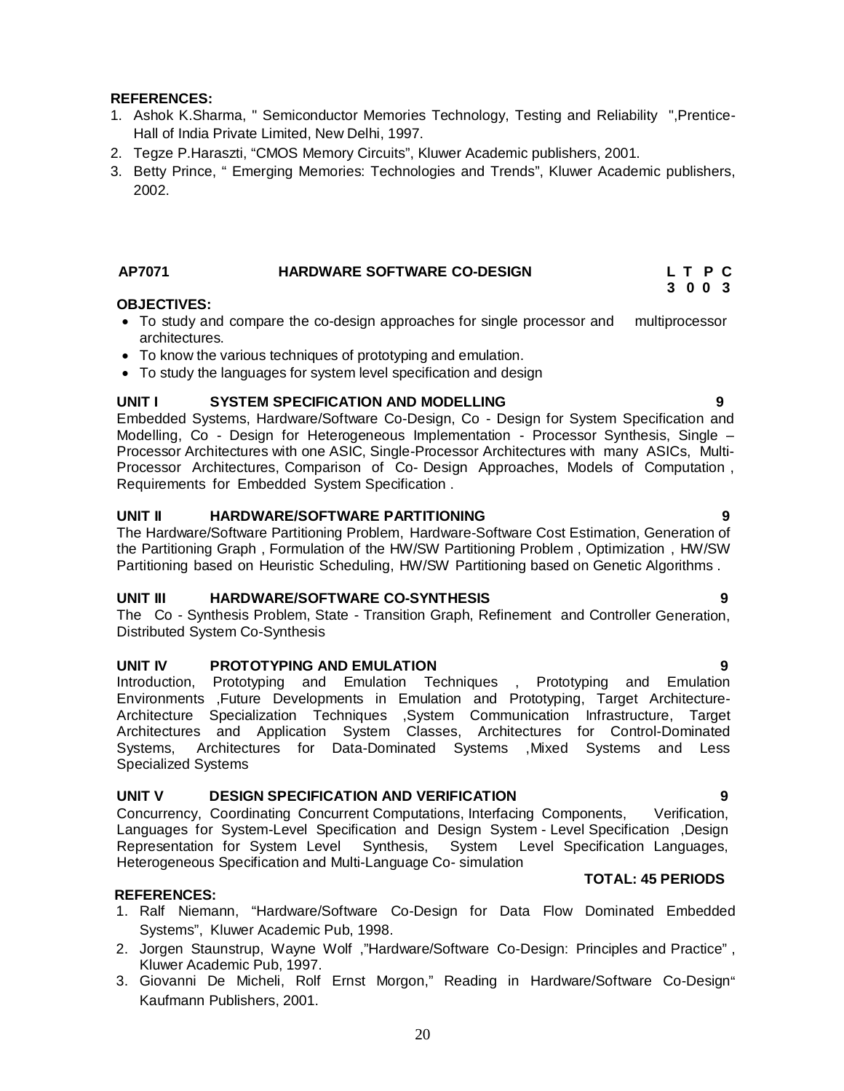### **REFERENCES:**

- 1. Ashok K.Sharma, " Semiconductor Memories Technology, Testing and Reliability ",Prentice-Hall of India Private Limited, New Delhi, 1997.
- 2. Tegze P.Haraszti, "CMOS Memory Circuits", Kluwer Academic publishers, 2001.
- 3. Betty Prince, " Emerging Memories: Technologies and Trends", Kluwer Academic publishers, 2002.

### **AP7071 HARDWARE SOFTWARE CO-DESIGN L T P C**

#### **3 0 0 3 OBJECTIVES:**

- To study and compare the co-design approaches for single processor and multiprocessor architectures.
- To know the various techniques of prototyping and emulation.
- To study the languages for system level specification and design

#### **UNIT I SYSTEM SPECIFICATION AND MODELLING 9**

Embedded Systems, Hardware/Software Co-Design, Co - Design for System Specification and Modelling, Co - Design for Heterogeneous Implementation - Processor Synthesis, Single – Processor Architectures with one ASIC, Single-Processor Architectures with many ASICs, Multi-Processor Architectures, Comparison of Co- Design Approaches, Models of Computation , Requirements for Embedded System Specification .

#### **UNIT II HARDWARE/SOFTWARE PARTITIONING 9**

The Hardware/Software Partitioning Problem, Hardware-Software Cost Estimation, Generation of the Partitioning Graph , Formulation of the HW/SW Partitioning Problem , Optimization , HW/SW Partitioning based on Heuristic Scheduling, HW/SW Partitioning based on Genetic Algorithms .

#### **UNIT III HARDWARE/SOFTWARE CO-SYNTHESIS 9**

The Co - Synthesis Problem, State - Transition Graph, Refinement and Controller Generation, Distributed System Co-Synthesis

#### **UNIT IV PROTOTYPING AND EMULATION 9**

Introduction, Prototyping and Emulation Techniques , Prototyping and Emulation Environments ,Future Developments in Emulation and Prototyping, Target Architecture-Architecture Specialization Techniques ,System Communication Infrastructure, Target Architectures and Application System Classes, Architectures for Control-Dominated Systems, Architectures for Data-Dominated Systems ,Mixed Systems and Less Specialized Systems

#### **UNIT V DESIGN SPECIFICATION AND VERIFICATION 9**

Concurrency, Coordinating Concurrent Computations, Interfacing Components, Verification, Languages for System-Level Specification and Design System - Level Specification ,Design Representation for System Level Synthesis, System Level Specification Languages, Heterogeneous Specification and Multi-Language Co- simulation

#### **REFERENCES:**

- 1. Ralf Niemann, "Hardware/Software Co-Design for Data Flow Dominated Embedded Systems", Kluwer Academic Pub, 1998.
- 2. Jorgen Staunstrup, Wayne Wolf ,"Hardware/Software Co-Design: Principles and Practice" , Kluwer Academic Pub, 1997.
- 3. Giovanni De Micheli, Rolf Ernst Morgon," Reading in Hardware/Software Co-Design" Kaufmann Publishers, 2001.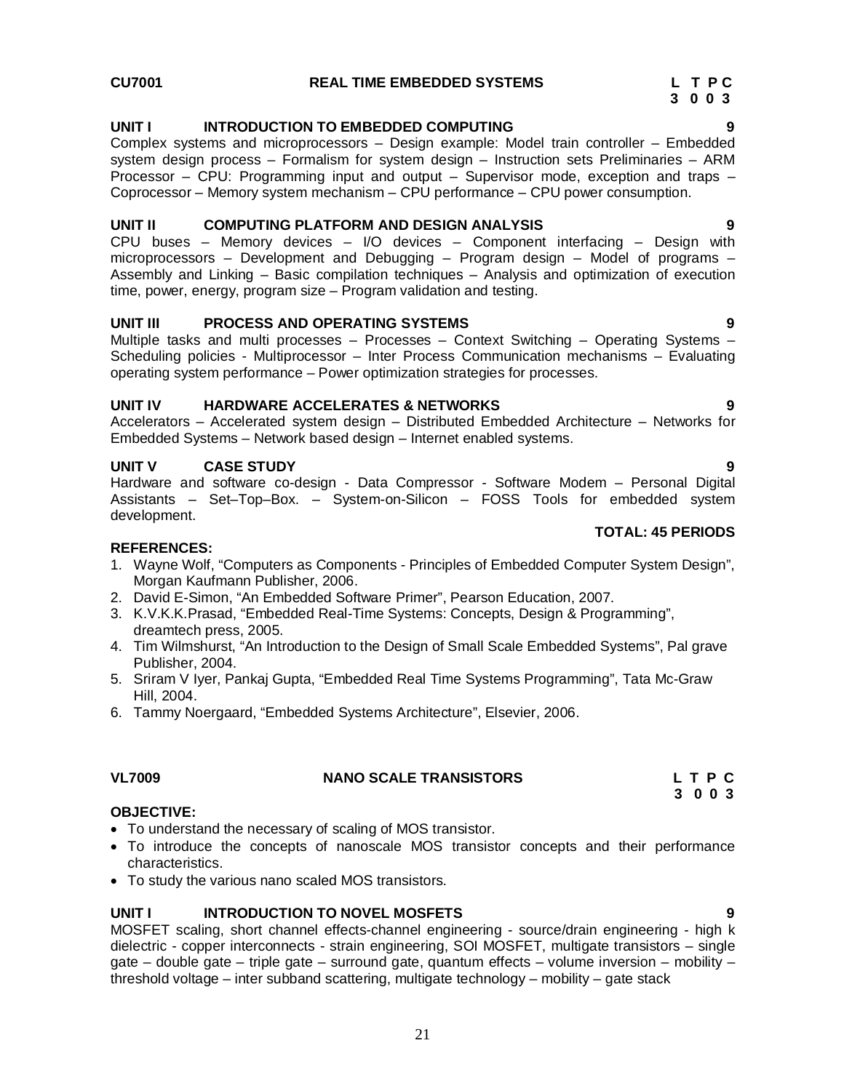#### **UNIT I INTRODUCTION TO EMBEDDED COMPUTING 9**

Complex systems and microprocessors – Design example: Model train controller – Embedded system design process – Formalism for system design – Instruction sets Preliminaries – ARM Processor – CPU: Programming input and output – Supervisor mode, exception and traps – Coprocessor – Memory system mechanism – CPU performance – CPU power consumption.

#### **UNIT II COMPUTING PLATFORM AND DESIGN ANALYSIS 9**

CPU buses – Memory devices – I/O devices – Component interfacing – Design with microprocessors – Development and Debugging – Program design – Model of programs – Assembly and Linking – Basic compilation techniques – Analysis and optimization of execution time, power, energy, program size – Program validation and testing.

#### **UNIT III PROCESS AND OPERATING SYSTEMS 9**

Multiple tasks and multi processes – Processes – Context Switching – Operating Systems – Scheduling policies - Multiprocessor – Inter Process Communication mechanisms – Evaluating operating system performance – Power optimization strategies for processes.

#### **UNIT IV HARDWARE ACCELERATES & NETWORKS 9**

Accelerators – Accelerated system design – Distributed Embedded Architecture – Networks for Embedded Systems – Network based design – Internet enabled systems.

#### **UNIT V CASE STUDY 9**

Hardware and software co-design - Data Compressor - Software Modem – Personal Digital Assistants – Set–Top–Box. – System-on-Silicon – FOSS Tools for embedded system development.

#### **REFERENCES:**

- 1. Wayne Wolf, "Computers as Components Principles of Embedded Computer System Design", Morgan Kaufmann Publisher, 2006.
- 2. David E-Simon, "An Embedded Software Primer", Pearson Education, 2007.
- 3. K.V.K.K.Prasad, "Embedded Real-Time Systems: Concepts, Design & Programming", dreamtech press, 2005.
- 4. Tim Wilmshurst, "An Introduction to the Design of Small Scale Embedded Systems", Pal grave Publisher, 2004.
- 5. Sriram V Iyer, Pankaj Gupta, "Embedded Real Time Systems Programming", Tata Mc-Graw Hill, 2004.
- 6. Tammy Noergaard, "Embedded Systems Architecture", Elsevier, 2006.

#### **OBJECTIVE:**

- To understand the necessary of scaling of MOS transistor.
- To introduce the concepts of nanoscale MOS transistor concepts and their performance characteristics.
- To study the various nano scaled MOS transistors.

#### **UNIT I INTRODUCTION TO NOVEL MOSFETS 9**

MOSFET scaling, short channel effects-channel engineering - source/drain engineering - high k dielectric - copper interconnects - strain engineering, SOI MOSFET, multigate transistors – single gate – double gate – triple gate – surround gate, quantum effects – volume inversion – mobility – threshold voltage – inter subband scattering, multigate technology – mobility – gate stack

**TOTAL: 45 PERIODS**

### **VL7009 NANO SCALE TRANSISTORS L T P C 3 0 0 3**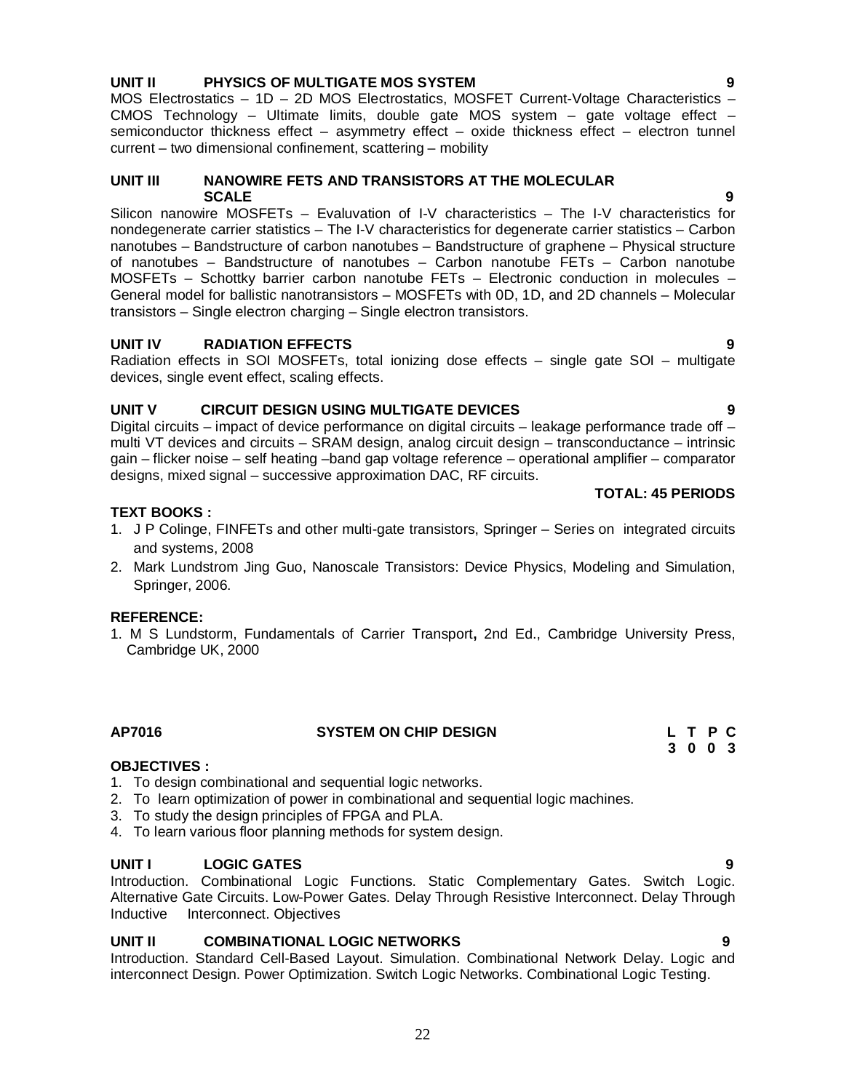### **UNIT II PHYSICS OF MULTIGATE MOS SYSTEM 9**

MOS Electrostatics – 1D – 2D MOS Electrostatics, MOSFET Current-Voltage Characteristics – CMOS Technology – Ultimate limits, double gate MOS system – gate voltage effect – semiconductor thickness effect – asymmetry effect – oxide thickness effect – electron tunnel current – two dimensional confinement, scattering – mobility

#### **UNIT III NANOWIRE FETS AND TRANSISTORS AT THE MOLECULAR SCALE** 9

Silicon nanowire MOSFETs – Evaluvation of I-V characteristics – The I-V characteristics for nondegenerate carrier statistics – The I-V characteristics for degenerate carrier statistics – Carbon nanotubes – Bandstructure of carbon nanotubes – Bandstructure of graphene – Physical structure of nanotubes – Bandstructure of nanotubes – Carbon nanotube FETs – Carbon nanotube MOSFETs – Schottky barrier carbon nanotube FETs – Electronic conduction in molecules – General model for ballistic nanotransistors – MOSFETs with 0D, 1D, and 2D channels – Molecular transistors – Single electron charging – Single electron transistors.

### **UNIT IV RADIATION EFFECTS 9**

Radiation effects in SOI MOSFETs, total ionizing dose effects – single gate SOI – multigate devices, single event effect, scaling effects.

### **UNIT V CIRCUIT DESIGN USING MULTIGATE DEVICES 9**

Digital circuits – impact of device performance on digital circuits – leakage performance trade off – multi VT devices and circuits – SRAM design, analog circuit design – transconductance – intrinsic gain – flicker noise – self heating –band gap voltage reference – operational amplifier – comparator designs, mixed signal – successive approximation DAC, RF circuits.

#### **TOTAL: 45 PERIODS**

### **TEXT BOOKS :**

- 1. J P Colinge, FINFETs and other multi-gate transistors, Springer Series on integrated circuits and systems, 2008
- 2. Mark Lundstrom Jing Guo, Nanoscale Transistors: Device Physics, Modeling and Simulation, Springer, 2006.

#### **REFERENCE:**

1. M S Lundstorm, Fundamentals of Carrier Transport**,** 2nd Ed., Cambridge University Press, Cambridge UK, 2000

### **OBJECTIVES :**

- 1. To design combinational and sequential logic networks.
- 2. To learn optimization of power in combinational and sequential logic machines.
- 3. To study the design principles of FPGA and PLA.
- 4. To learn various floor planning methods for system design.

#### **UNIT I LOGIC GATES**

Introduction. Combinational Logic Functions. Static Complementary Gates. Switch Logic. Alternative Gate Circuits. Low-Power Gates. Delay Through Resistive Interconnect. Delay Through Inductive Interconnect. Objectives

#### **UNIT II COMBINATIONAL LOGIC NETWORKS 9**

Introduction. Standard Cell-Based Layout. Simulation. Combinational Network Delay. Logic and interconnect Design. Power Optimization. Switch Logic Networks. Combinational Logic Testing.

**AP7016 SYSTEM ON CHIP DESIGN L T P C 3 0 0 3 3 0 0 3**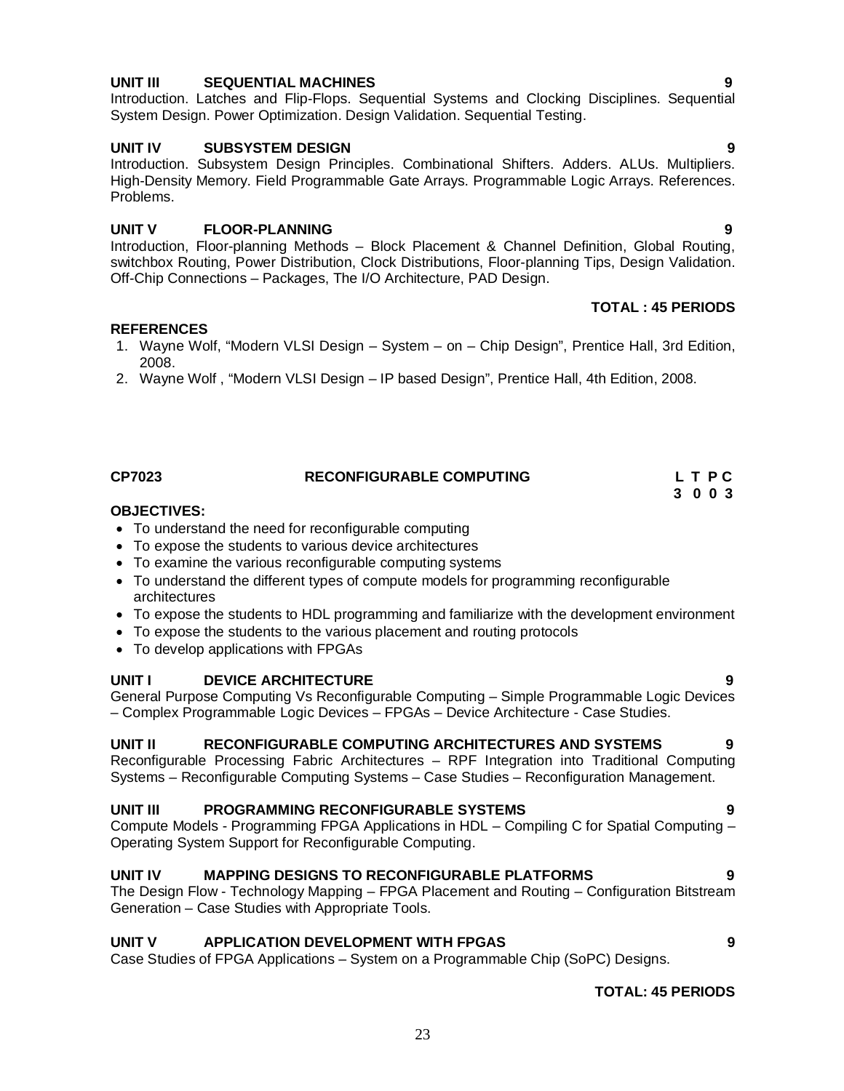### **UNIT III SEQUENTIAL MACHINES 9**

Introduction. Latches and Flip-Flops. Sequential Systems and Clocking Disciplines. Sequential System Design. Power Optimization. Design Validation. Sequential Testing.

#### **UNIT IV SUBSYSTEM DESIGN 9**

Introduction. Subsystem Design Principles. Combinational Shifters. Adders. ALUs. Multipliers. High-Density Memory. Field Programmable Gate Arrays. Programmable Logic Arrays. References. Problems.

#### **UNIT V FLOOR-PLANNING 9**

Introduction, Floor-planning Methods – Block Placement & Channel Definition, Global Routing, switchbox Routing, Power Distribution, Clock Distributions, Floor-planning Tips, Design Validation. Off-Chip Connections – Packages, The I/O Architecture, PAD Design.

#### **TOTAL : 45 PERIODS**

#### **REFERENCES**

1. Wayne Wolf, "Modern VLSI Design – System – on – Chip Design", Prentice Hall, 3rd Edition, 2008.

**CP7023 RECONFIGURABLE COMPUTING L T P C**

2. Wayne Wolf , "Modern VLSI Design – IP based Design", Prentice Hall, 4th Edition, 2008.

- **OBJECTIVES:**
- To understand the need for reconfigurable computing
- To expose the students to various device architectures
- To examine the various reconfigurable computing systems
- To understand the different types of compute models for programming reconfigurable architectures
- To expose the students to HDL programming and familiarize with the development environment
- To expose the students to the various placement and routing protocols
- To develop applications with FPGAs

#### **UNIT I DEVICE ARCHITECTURE 9**

General Purpose Computing Vs Reconfigurable Computing – Simple Programmable Logic Devices – Complex Programmable Logic Devices – FPGAs – Device Architecture - Case Studies.

#### **UNIT II RECONFIGURABLE COMPUTING ARCHITECTURES AND SYSTEMS 9**

Reconfigurable Processing Fabric Architectures – RPF Integration into Traditional Computing Systems – Reconfigurable Computing Systems – Case Studies – Reconfiguration Management.

#### **UNIT III PROGRAMMING RECONFIGURABLE SYSTEMS 9**

Compute Models - Programming FPGA Applications in HDL – Compiling C for Spatial Computing – Operating System Support for Reconfigurable Computing.

#### **UNIT IV MAPPING DESIGNS TO RECONFIGURABLE PLATFORMS 9**

The Design Flow - Technology Mapping – FPGA Placement and Routing – Configuration Bitstream Generation – Case Studies with Appropriate Tools.

#### **UNIT V APPLICATION DEVELOPMENT WITH FPGAS 9**

Case Studies of FPGA Applications – System on a Programmable Chip (SoPC) Designs.

#### **TOTAL: 45 PERIODS**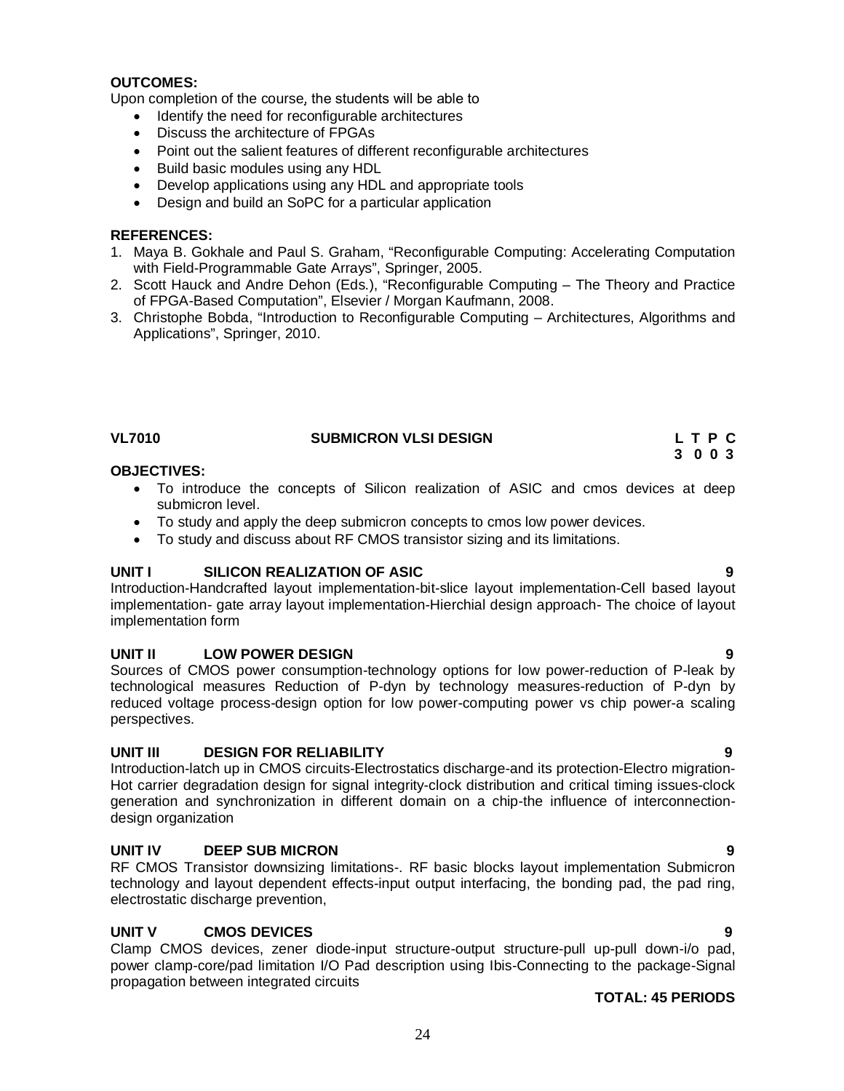#### **OUTCOMES:**

Upon completion of the course, the students will be able to

- Identify the need for reconfigurable architectures
- Discuss the architecture of FPGAs
- Point out the salient features of different reconfigurable architectures
- Build basic modules using any HDL
- Develop applications using any HDL and appropriate tools
- Design and build an SoPC for a particular application

#### **REFERENCES:**

- 1. Maya B. Gokhale and Paul S. Graham, "Reconfigurable Computing: Accelerating Computation with Field-Programmable Gate Arrays", Springer, 2005.
- 2. Scott Hauck and Andre Dehon (Eds.), "Reconfigurable Computing The Theory and Practice of FPGA-Based Computation", Elsevier / Morgan Kaufmann, 2008.
- 3. Christophe Bobda, "Introduction to Reconfigurable Computing Architectures, Algorithms and Applications", Springer, 2010.

| VL7010 | <b>SUBMICRON VLSI DESIGN</b> |  | LTPC |  |
|--------|------------------------------|--|------|--|
|        |                              |  |      |  |

 **3 0 0 3**

#### **OBJECTIVES:**

- To introduce the concepts of Silicon realization of ASIC and cmos devices at deep submicron level.
- To study and apply the deep submicron concepts to cmos low power devices.
- To study and discuss about RF CMOS transistor sizing and its limitations.

#### **UNIT I SILICON REALIZATION OF ASIC 9**

Introduction-Handcrafted layout implementation-bit-slice layout implementation-Cell based layout implementation- gate array layout implementation-Hierchial design approach- The choice of layout implementation form

#### **UNIT II LOW POWER DESIGN 9**

Sources of CMOS power consumption-technology options for low power-reduction of P-leak by technological measures Reduction of P-dyn by technology measures-reduction of P-dyn by reduced voltage process-design option for low power-computing power vs chip power-a scaling perspectives.

#### **UNIT III DESIGN FOR RELIABILITY 9**

Introduction-latch up in CMOS circuits-Electrostatics discharge-and its protection-Electro migration-Hot carrier degradation design for signal integrity-clock distribution and critical timing issues-clock generation and synchronization in different domain on a chip-the influence of interconnectiondesign organization

#### **UNIT IV DEEP SUB MICRON 9**

RF CMOS Transistor downsizing limitations-. RF basic blocks layout implementation Submicron technology and layout dependent effects-input output interfacing, the bonding pad, the pad ring, electrostatic discharge prevention,

#### **UNIT V CMOS DEVICES 9**

Clamp CMOS devices, zener diode-input structure-output structure-pull up-pull down-i/o pad, power clamp-core/pad limitation I/O Pad description using Ibis-Connecting to the package-Signal propagation between integrated circuits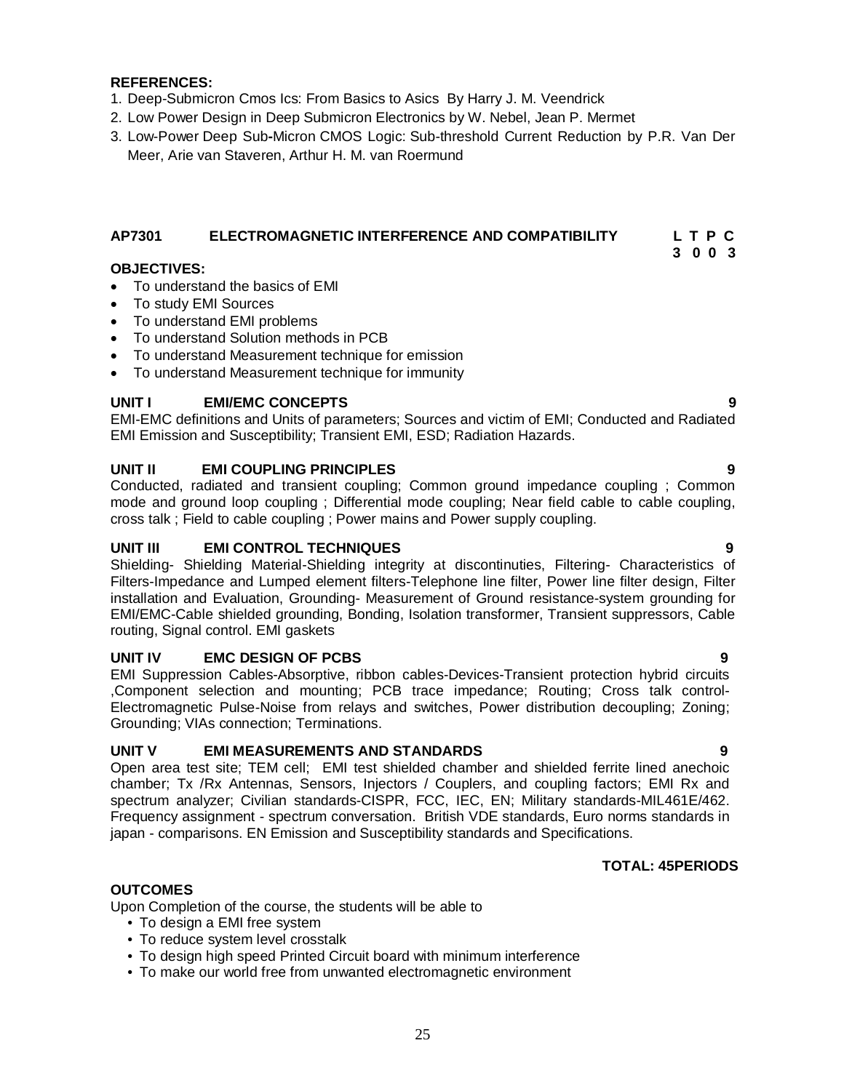#### **REFERENCES:**

- 1. Deep-Submicron Cmos Ics: From Basics to Asics By Harry J. M. Veendrick
- 2. Low Power Design in Deep Submicron Electronics by W. Nebel, Jean P. Mermet
- 3. Low-Power Deep Sub**-**Micron CMOS Logic: Sub-threshold Current Reduction by P.R. Van Der Meer, Arie van Staveren, Arthur H. M. van Roermund

# **AP7301 ELECTROMAGNETIC INTERFERENCE AND COMPATIBILITY L T P C**

#### **3 0 0 3 OBJECTIVES:**

- To understand the basics of EMI
- To study EMI Sources
- To understand EMI problems
- To understand Solution methods in PCB
- To understand Measurement technique for emission
- To understand Measurement technique for immunity

#### **UNIT I EMI/EMC CONCEPTS 9**

EMI-EMC definitions and Units of parameters; Sources and victim of EMI; Conducted and Radiated EMI Emission and Susceptibility; Transient EMI, ESD; Radiation Hazards.

#### **UNIT II EMI COUPLING PRINCIPLES 9**

Conducted, radiated and transient coupling; Common ground impedance coupling ; Common mode and ground loop coupling ; Differential mode coupling; Near field cable to cable coupling, cross talk ; Field to cable coupling ; Power mains and Power supply coupling.

#### **UNIT III EMI CONTROL TECHNIQUES 9**

Shielding- Shielding Material-Shielding integrity at discontinuties, Filtering- Characteristics of Filters-Impedance and Lumped element filters-Telephone line filter, Power line filter design, Filter installation and Evaluation, Grounding- Measurement of Ground resistance-system grounding for EMI/EMC-Cable shielded grounding, Bonding, Isolation transformer, Transient suppressors, Cable routing, Signal control. EMI gaskets

#### **UNIT IV EMC DESIGN OF PCBS 9**

EMI Suppression Cables-Absorptive, ribbon cables-Devices-Transient protection hybrid circuits ,Component selection and mounting; PCB trace impedance; Routing; Cross talk control-Electromagnetic Pulse-Noise from relays and switches, Power distribution decoupling; Zoning; Grounding; VIAs connection; Terminations.

#### **UNIT V EMI MEASUREMENTS AND STANDARDS 9**

Open area test site; TEM cell; EMI test shielded chamber and shielded ferrite lined anechoic chamber; Tx /Rx Antennas, Sensors, Injectors / Couplers, and coupling factors; EMI Rx and spectrum analyzer; Civilian standards-CISPR, FCC, IEC, EN; Military standards-MIL461E/462. Frequency assignment - spectrum conversation. British VDE standards, Euro norms standards in japan - comparisons. EN Emission and Susceptibility standards and Specifications.

#### **TOTAL: 45PERIODS**

#### **OUTCOMES**

Upon Completion of the course, the students will be able to

- To design a EMI free system
- To reduce system level crosstalk
- To design high speed Printed Circuit board with minimum interference
- To make our world free from unwanted electromagnetic environment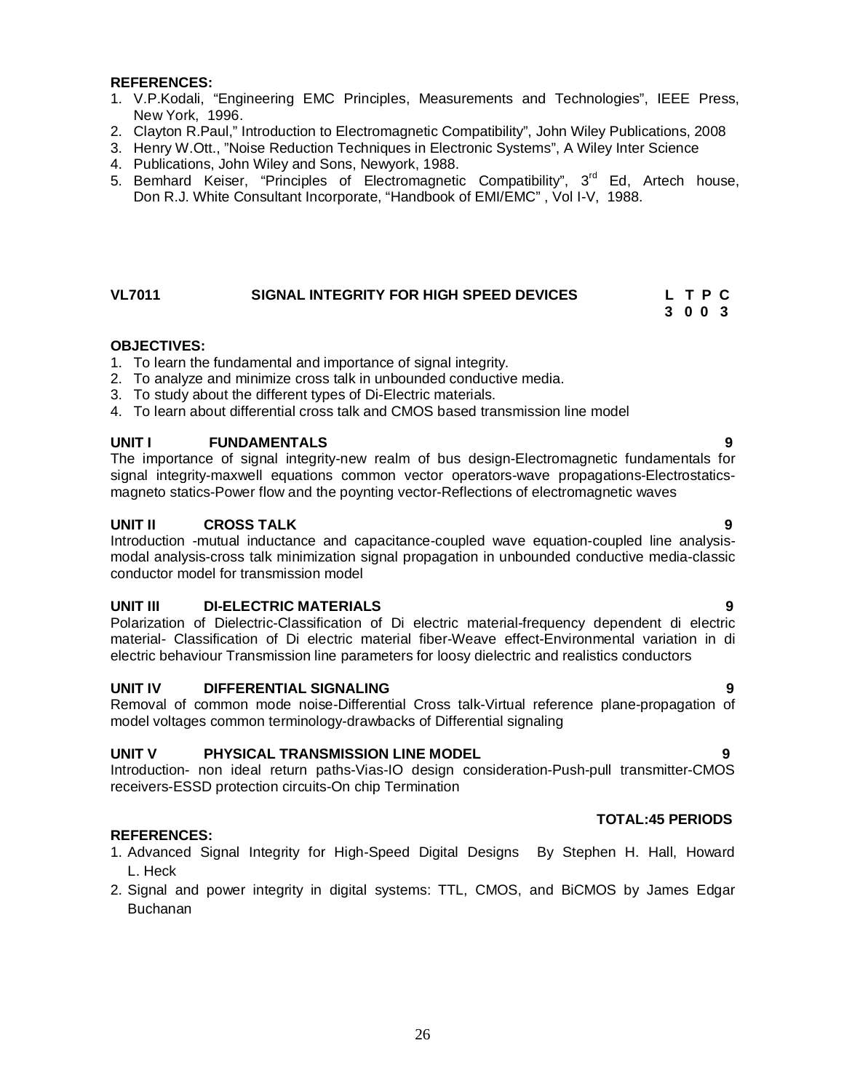#### **REFERENCES:**

- 1. V.P.Kodali, "Engineering EMC Principles, Measurements and Technologies", IEEE Press, New York, 1996.
- 2. Clayton R.Paul," Introduction to Electromagnetic Compatibility", John Wiley Publications, 2008
- 3. Henry W.Ott., "Noise Reduction Techniques in Electronic Systems", A Wiley Inter Science
- 4. Publications, John Wiley and Sons, Newyork, 1988.
- 5. Bemhard Keiser, "Principles of Electromagnetic Compatibility", 3<sup>rd</sup> Ed, Artech house, Don R.J. White Consultant Incorporate, "Handbook of EMI/EMC" , Vol I-V, 1988.

#### **VL7011 SIGNAL INTEGRITY FOR HIGH SPEED DEVICES L T P C 3 0 0 3**

# **OBJECTIVES:**

- 1. To learn the fundamental and importance of signal integrity.
- 2. To analyze and minimize cross talk in unbounded conductive media.
- 3. To study about the different types of Di-Electric materials.
- 4. To learn about differential cross talk and CMOS based transmission line model

#### **UNIT I FUNDAMENTALS 9**

The importance of signal integrity-new realm of bus design-Electromagnetic fundamentals for signal integrity-maxwell equations common vector operators-wave propagations-Electrostaticsmagneto statics-Power flow and the poynting vector-Reflections of electromagnetic waves

#### **UNIT II CROSS TALK 9**

Introduction -mutual inductance and capacitance-coupled wave equation-coupled line analysismodal analysis-cross talk minimization signal propagation in unbounded conductive media-classic conductor model for transmission model

#### **UNIT III DI-ELECTRIC MATERIALS 9**

Polarization of Dielectric-Classification of Di electric material-frequency dependent di electric material- Classification of Di electric material fiber-Weave effect-Environmental variation in di electric behaviour Transmission line parameters for loosy dielectric and realistics conductors

#### **UNIT IV DIFFERENTIAL SIGNALING 9**

Removal of common mode noise-Differential Cross talk-Virtual reference plane-propagation of model voltages common terminology-drawbacks of Differential signaling

#### **UNIT V PHYSICAL TRANSMISSION LINE MODEL 9**

Introduction- non ideal return paths-Vias-IO design consideration-Push-pull transmitter-CMOS receivers-ESSD protection circuits-On chip Termination

#### **REFERENCES:**

- 1. Advanced Signal Integrity for High-Speed Digital Designs By Stephen H. Hall, Howard L. Heck
- 2. Signal and power integrity in digital systems: TTL, CMOS, and BiCMOS by James Edgar Buchanan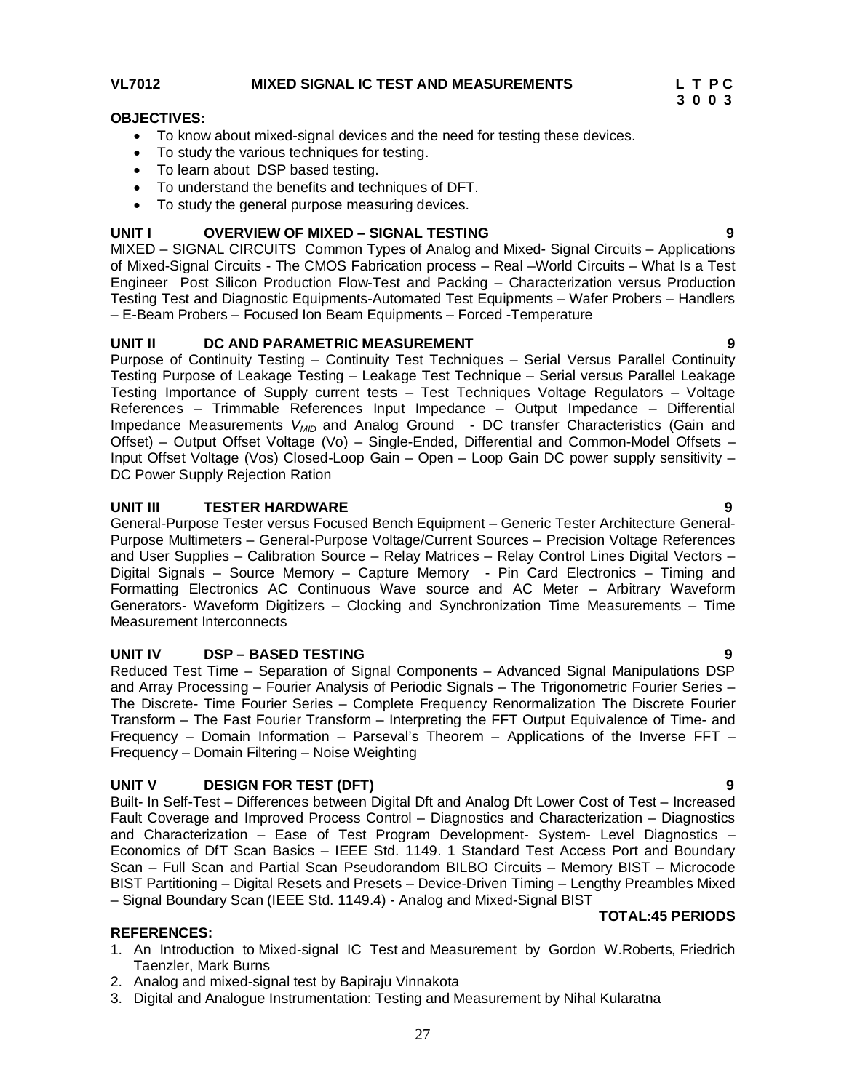# VL7012 MIXED SIGNAL IC TEST AND MEASUREMENTS L T P C<br>3 0 0 3

#### **OBJECTIVES:**

- To know about mixed-signal devices and the need for testing these devices.
- To study the various techniques for testing.
- To learn about DSP based testing.
- To understand the benefits and techniques of DFT.
- To study the general purpose measuring devices.

#### **UNIT I OVERVIEW OF MIXED – SIGNAL TESTING 9**

MIXED – SIGNAL CIRCUITS Common Types of Analog and Mixed- Signal Circuits – Applications of Mixed-Signal Circuits - The CMOS Fabrication process – Real –World Circuits – What Is a Test Engineer Post Silicon Production Flow-Test and Packing – Characterization versus Production Testing Test and Diagnostic Equipments-Automated Test Equipments – Wafer Probers – Handlers – E-Beam Probers – Focused Ion Beam Equipments – Forced -Temperature

#### **UNIT II DC AND PARAMETRIC MEASUREMENT 9**

Purpose of Continuity Testing – Continuity Test Techniques – Serial Versus Parallel Continuity Testing Purpose of Leakage Testing – Leakage Test Technique – Serial versus Parallel Leakage Testing Importance of Supply current tests – Test Techniques Voltage Regulators – Voltage References – Trimmable References Input Impedance – Output Impedance – Differential Impedance Measurements *V<sub>MID</sub>* and Analog Ground - DC transfer Characteristics (Gain and Offset) – Output Offset Voltage (Vo) – Single-Ended, Differential and Common-Model Offsets – Input Offset Voltage (Vos) Closed-Loop Gain – Open – Loop Gain DC power supply sensitivity – DC Power Supply Rejection Ration

#### **UNIT III TESTER HARDWARE 9**

General-Purpose Tester versus Focused Bench Equipment – Generic Tester Architecture General-Purpose Multimeters – General-Purpose Voltage/Current Sources – Precision Voltage References and User Supplies – Calibration Source – Relay Matrices – Relay Control Lines Digital Vectors – Digital Signals – Source Memory – Capture Memory - Pin Card Electronics – Timing and Formatting Electronics AC Continuous Wave source and AC Meter – Arbitrary Waveform Generators- Waveform Digitizers – Clocking and Synchronization Time Measurements – Time Measurement Interconnects

#### **UNIT IV DSP – BASED TESTING 9**

Reduced Test Time – Separation of Signal Components – Advanced Signal Manipulations DSP and Array Processing – Fourier Analysis of Periodic Signals – The Trigonometric Fourier Series – The Discrete- Time Fourier Series – Complete Frequency Renormalization The Discrete Fourier Transform – The Fast Fourier Transform – Interpreting the FFT Output Equivalence of Time- and Frequency – Domain Information – Parseval's Theorem – Applications of the Inverse FFT – Frequency – Domain Filtering – Noise Weighting

#### **UNIT V DESIGN FOR TEST (DFT) 9**

Built- In Self-Test – Differences between Digital Dft and Analog Dft Lower Cost of Test – Increased Fault Coverage and Improved Process Control – Diagnostics and Characterization – Diagnostics and Characterization – Ease of Test Program Development- System- Level Diagnostics – Economics of DfT Scan Basics – IEEE Std. 1149. 1 Standard Test Access Port and Boundary Scan – Full Scan and Partial Scan Pseudorandom BILBO Circuits – Memory BIST – Microcode BIST Partitioning – Digital Resets and Presets – Device-Driven Timing – Lengthy Preambles Mixed – Signal Boundary Scan (IEEE Std. 1149.4) - Analog and Mixed-Signal BIST

#### **TOTAL:45 PERIODS**

#### **REFERENCES:**

- 1. An Introduction to Mixed-signal IC Test and Measurement by Gordon W.Roberts, Friedrich Taenzler, Mark Burns
- 2. Analog and mixed-signal test by Bapiraju Vinnakota
- 3. Digital and Analogue Instrumentation: Testing and Measurement by Nihal Kularatna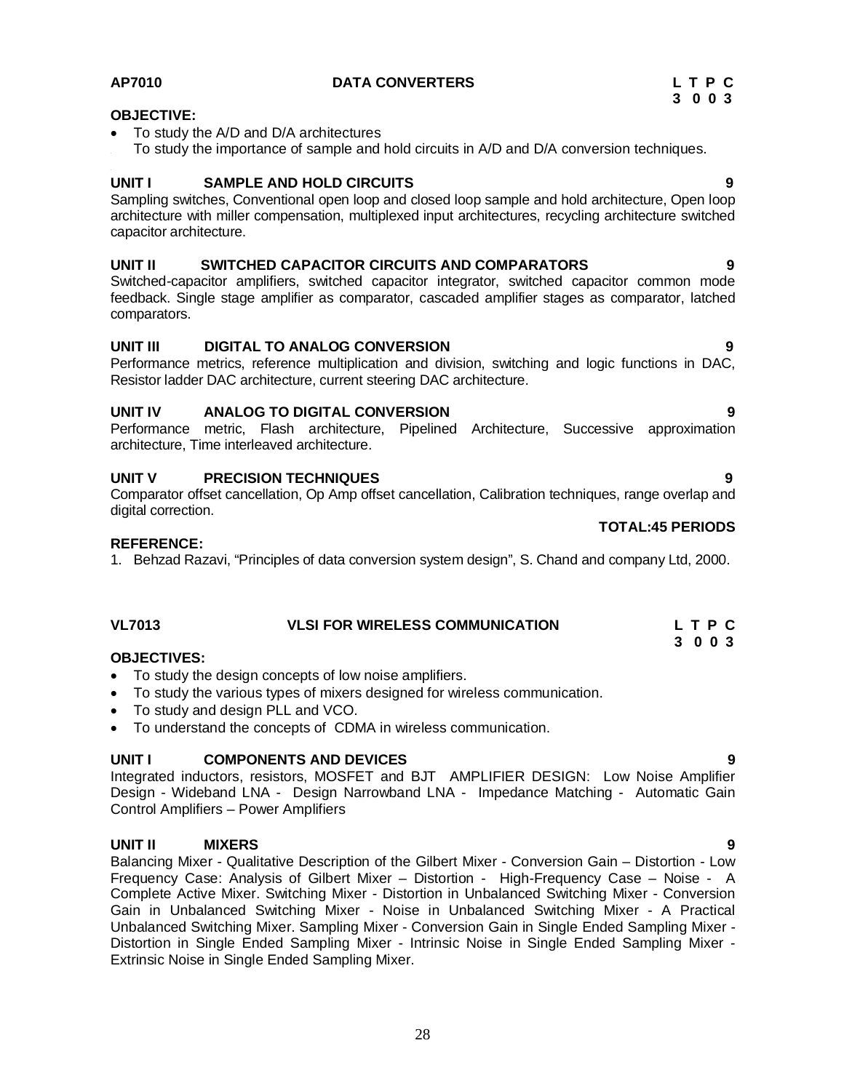#### **OBJECTIVE:**

- To study the A/D and D/A architectures
- To study the importance of sample and hold circuits in A/D and D/A conversion techniques.

#### **UNIT I SAMPLE AND HOLD CIRCUITS 9**

Sampling switches, Conventional open loop and closed loop sample and hold architecture, Open loop architecture with miller compensation, multiplexed input architectures, recycling architecture switched capacitor architecture.

#### **UNIT II SWITCHED CAPACITOR CIRCUITS AND COMPARATORS 9**

Switched-capacitor amplifiers, switched capacitor integrator, switched capacitor common mode feedback. Single stage amplifier as comparator, cascaded amplifier stages as comparator, latched comparators.

#### **UNIT III DIGITAL TO ANALOG CONVERSION 9**

Performance metrics, reference multiplication and division, switching and logic functions in DAC, Resistor ladder DAC architecture, current steering DAC architecture.

#### **UNIT IV ANALOG TO DIGITAL CONVERSION 9**

Performance metric, Flash architecture, Pipelined Architecture, Successive approximation architecture, Time interleaved architecture.

#### **UNIT V PRECISION TECHNIQUES 9**

Comparator offset cancellation, Op Amp offset cancellation, Calibration techniques, range overlap and digital correction.

#### **REFERENCE:**

1. Behzad Razavi, "Principles of data conversion system design", S. Chand and company Ltd, 2000.

## **VL7013 VLSI FOR WIRELESS COMMUNICATION L T P C**

#### **3 0 0 3 OBJECTIVES:**

- To study the design concepts of low noise amplifiers.
- To study the various types of mixers designed for wireless communication.
- To study and design PLL and VCO.
- To understand the concepts of CDMA in wireless communication.

#### **UNIT I COMPONENTS AND DEVICES 9**

Integrated inductors, resistors, MOSFET and BJT AMPLIFIER DESIGN: Low Noise Amplifier Design - Wideband LNA - Design Narrowband LNA - Impedance Matching - Automatic Gain Control Amplifiers – Power Amplifiers

#### **UNIT II MIXERS 9**

Balancing Mixer - Qualitative Description of the Gilbert Mixer - Conversion Gain – Distortion - Low Frequency Case: Analysis of Gilbert Mixer – Distortion - High-Frequency Case – Noise - A Complete Active Mixer. Switching Mixer - Distortion in Unbalanced Switching Mixer - Conversion Gain in Unbalanced Switching Mixer - Noise in Unbalanced Switching Mixer - A Practical Unbalanced Switching Mixer. Sampling Mixer - Conversion Gain in Single Ended Sampling Mixer - Distortion in Single Ended Sampling Mixer - Intrinsic Noise in Single Ended Sampling Mixer - Extrinsic Noise in Single Ended Sampling Mixer.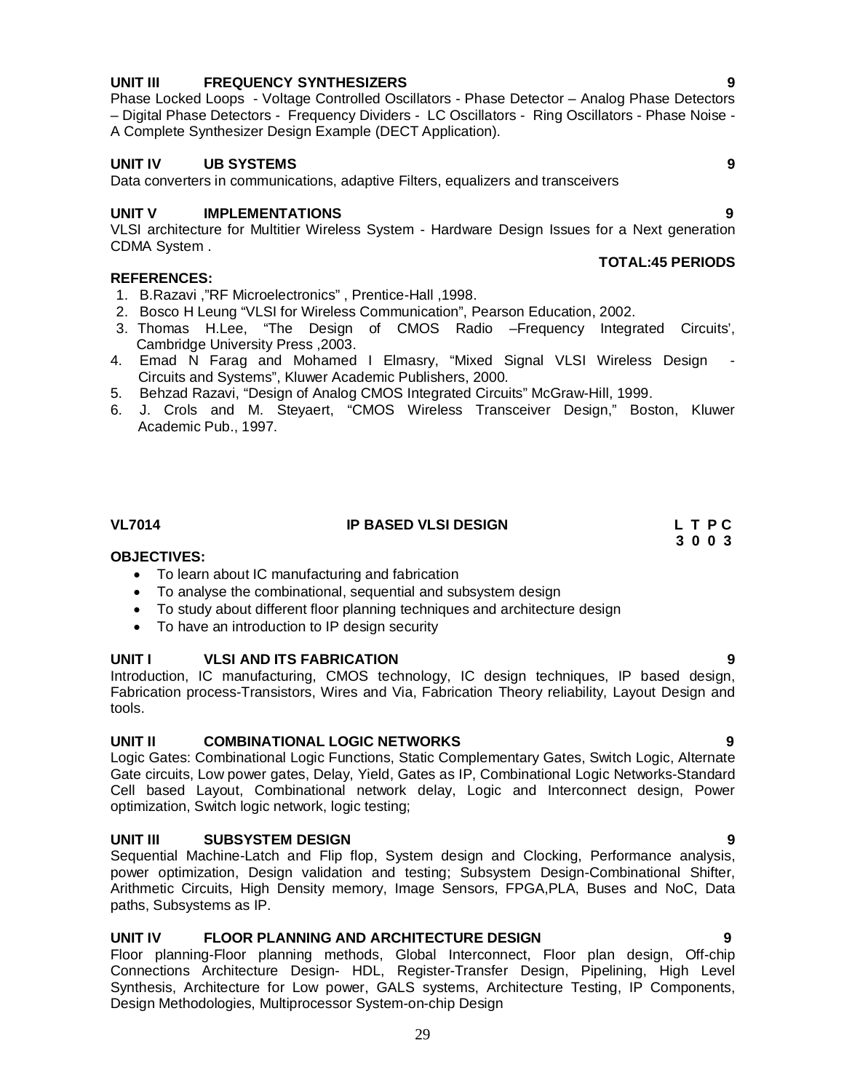#### **UNIT III FREQUENCY SYNTHESIZERS 9**

Phase Locked Loops - Voltage Controlled Oscillators - Phase Detector – Analog Phase Detectors – Digital Phase Detectors - Frequency Dividers - LC Oscillators - Ring Oscillators - Phase Noise - A Complete Synthesizer Design Example (DECT Application).

#### **UNIT IV UB SYSTEMS 9**

Data converters in communications, adaptive Filters, equalizers and transceivers

#### **UNIT V IMPLEMENTATIONS 9**

VLSI architecture for Multitier Wireless System - Hardware Design Issues for a Next generation CDMA System .

#### **REFERENCES:**

- 1. B.Razavi ,"RF Microelectronics" , Prentice-Hall ,1998.
- 2. Bosco H Leung "VLSI for Wireless Communication", Pearson Education, 2002.
- 3. Thomas H.Lee, "The Design of CMOS Radio –Frequency Integrated Circuits', Cambridge University Press ,2003.
- 4. Emad N Farag and Mohamed I Elmasry, "Mixed Signal VLSI Wireless Design Circuits and Systems", Kluwer Academic Publishers, 2000.
- 5. Behzad Razavi, "Design of Analog CMOS Integrated Circuits" McGraw-Hill, 1999.
- 6. J. Crols and M. Steyaert, "CMOS Wireless Transceiver Design," Boston, Kluwer Academic Pub., 1997.

### **VL7014 IP BASED VLSI DESIGN L T P C**

#### **3 0 0 3 OBJECTIVES:**

- To learn about IC manufacturing and fabrication
- To analyse the combinational, sequential and subsystem design
- To study about different floor planning techniques and architecture design
- To have an introduction to IP design security

#### **UNIT I VLSI AND ITS FABRICATION**

Introduction, IC manufacturing, CMOS technology, IC design techniques, IP based design, Fabrication process-Transistors, Wires and Via, Fabrication Theory reliability, Layout Design and tools.

#### **UNIT II COMBINATIONAL LOGIC NETWORKS 9**

Logic Gates: Combinational Logic Functions, Static Complementary Gates, Switch Logic, Alternate Gate circuits, Low power gates, Delay, Yield, Gates as IP, Combinational Logic Networks-Standard Cell based Layout, Combinational network delay, Logic and Interconnect design, Power optimization, Switch logic network, logic testing;

#### **UNIT III SUBSYSTEM DESIGN 9**

Sequential Machine-Latch and Flip flop, System design and Clocking, Performance analysis, power optimization, Design validation and testing; Subsystem Design-Combinational Shifter. Arithmetic Circuits, High Density memory, Image Sensors, FPGA,PLA, Buses and NoC, Data paths, Subsystems as IP.

#### **UNIT IV FLOOR PLANNING AND ARCHITECTURE DESIGN 9**

Floor planning-Floor planning methods, Global Interconnect, Floor plan design, Off-chip Connections Architecture Design- HDL, Register-Transfer Design, Pipelining, High Level Synthesis, Architecture for Low power, GALS systems, Architecture Testing, IP Components, Design Methodologies, Multiprocessor System-on-chip Design